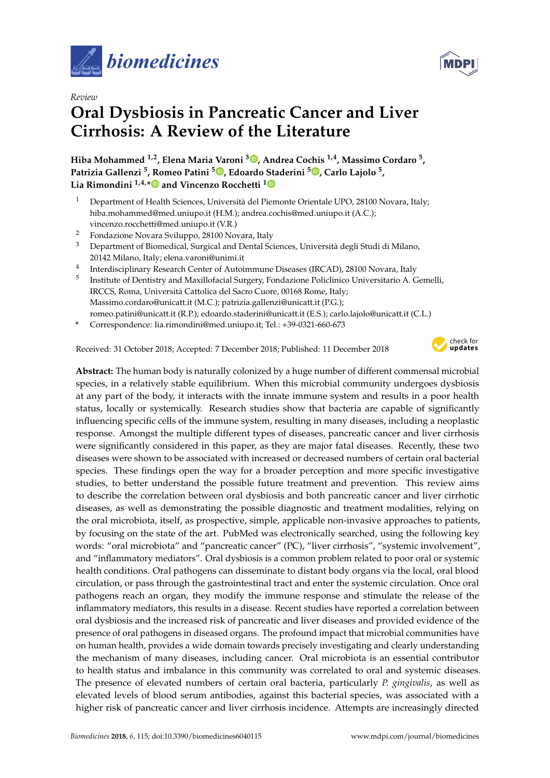



# *Review* **Oral Dysbiosis in Pancreatic Cancer and Liver Cirrhosis: A Review of the Literature**

**Hiba Mohammed 1,2, Elena Maria Varoni <sup>3</sup> [,](https://orcid.org/0000-0002-7287-2188) Andrea Cochis 1,4, Massimo Cordaro <sup>5</sup> , Patrizia Gallenzi <sup>5</sup> , Romeo Patini [5](https://orcid.org/0000-0001-7358-8763) , Edoardo Staderini <sup>5</sup> [,](https://orcid.org/0000-0003-1339-9172) Carlo Lajolo <sup>5</sup> , Lia Rimondini 1,4,[\\*](https://orcid.org/0000-0002-7785-2282) and Vincenzo Rocchetti [1](https://orcid.org/0000-0002-3186-7008)**

- <sup>1</sup> Department of Health Sciences, Università del Piemonte Orientale UPO, 28100 Novara, Italy; hiba.mohammed@med.uniupo.it (H.M.); andrea.cochis@med.uniupo.it (A.C.); vincenzo.rocchetti@med.uniupo.it (V.R.)
- <sup>2</sup> Fondazione Novara Sviluppo, 28100 Novara, Italy
- <sup>3</sup> Department of Biomedical, Surgical and Dental Sciences, Università degli Studi di Milano, 20142 Milano, Italy; elena.varoni@unimi.it
- 4 Interdisciplinary Research Center of Autoimmune Diseases (IRCAD), 28100 Novara, Italy
- 5 Institute of Dentistry and Maxillofacial Surgery, Fondazione Policlinico Universitario A. Gemelli, IRCCS, Roma, Università Cattolica del Sacro Cuore, 00168 Rome, Italy; Massimo.cordaro@unicatt.it (M.C.); patrizia.gallenzi@unicatt.it (P.G.); romeo.patini@unicatt.it (R.P.); edoardo.staderini@unicatt.it (E.S.); carlo.lajolo@unicatt.it (C.L.)
- **\*** Correspondence: lia.rimondini@med.uniupo.it; Tel.: +39-0321-660-673

Received: 31 October 2018; Accepted: 7 December 2018; Published: 11 December 2018



**Abstract:** The human body is naturally colonized by a huge number of different commensal microbial species, in a relatively stable equilibrium. When this microbial community undergoes dysbiosis at any part of the body, it interacts with the innate immune system and results in a poor health status, locally or systemically. Research studies show that bacteria are capable of significantly influencing specific cells of the immune system, resulting in many diseases, including a neoplastic response. Amongst the multiple different types of diseases, pancreatic cancer and liver cirrhosis were significantly considered in this paper, as they are major fatal diseases. Recently, these two diseases were shown to be associated with increased or decreased numbers of certain oral bacterial species. These findings open the way for a broader perception and more specific investigative studies, to better understand the possible future treatment and prevention. This review aims to describe the correlation between oral dysbiosis and both pancreatic cancer and liver cirrhotic diseases, as well as demonstrating the possible diagnostic and treatment modalities, relying on the oral microbiota, itself, as prospective, simple, applicable non-invasive approaches to patients, by focusing on the state of the art. PubMed was electronically searched, using the following key words: "oral microbiota" and "pancreatic cancer" (PC), "liver cirrhosis", "systemic involvement", and "inflammatory mediators". Oral dysbiosis is a common problem related to poor oral or systemic health conditions. Oral pathogens can disseminate to distant body organs via the local, oral blood circulation, or pass through the gastrointestinal tract and enter the systemic circulation. Once oral pathogens reach an organ, they modify the immune response and stimulate the release of the inflammatory mediators, this results in a disease. Recent studies have reported a correlation between oral dysbiosis and the increased risk of pancreatic and liver diseases and provided evidence of the presence of oral pathogens in diseased organs. The profound impact that microbial communities have on human health, provides a wide domain towards precisely investigating and clearly understanding the mechanism of many diseases, including cancer. Oral microbiota is an essential contributor to health status and imbalance in this community was correlated to oral and systemic diseases. The presence of elevated numbers of certain oral bacteria, particularly *P. gingivalis*, as well as elevated levels of blood serum antibodies, against this bacterial species, was associated with a higher risk of pancreatic cancer and liver cirrhosis incidence. Attempts are increasingly directed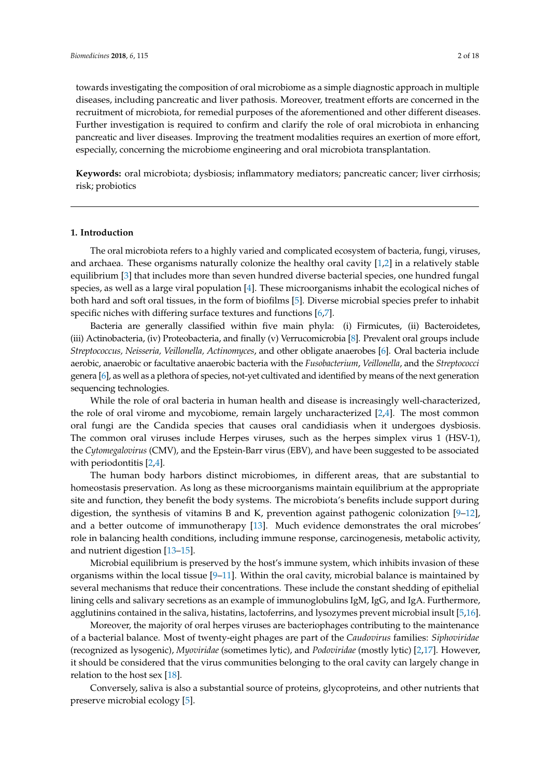towards investigating the composition of oral microbiome as a simple diagnostic approach in multiple diseases, including pancreatic and liver pathosis. Moreover, treatment efforts are concerned in the recruitment of microbiota, for remedial purposes of the aforementioned and other different diseases. Further investigation is required to confirm and clarify the role of oral microbiota in enhancing pancreatic and liver diseases. Improving the treatment modalities requires an exertion of more effort, especially, concerning the microbiome engineering and oral microbiota transplantation.

**Keywords:** oral microbiota; dysbiosis; inflammatory mediators; pancreatic cancer; liver cirrhosis; risk; probiotics

# **1. Introduction**

The oral microbiota refers to a highly varied and complicated ecosystem of bacteria, fungi, viruses, and archaea. These organisms naturally colonize the healthy oral cavity [\[1](#page-10-0)[,2\]](#page-10-1) in a relatively stable equilibrium [\[3\]](#page-10-2) that includes more than seven hundred diverse bacterial species, one hundred fungal species, as well as a large viral population [\[4\]](#page-10-3). These microorganisms inhabit the ecological niches of both hard and soft oral tissues, in the form of biofilms [\[5\]](#page-10-4). Diverse microbial species prefer to inhabit specific niches with differing surface textures and functions [\[6](#page-10-5)[,7\]](#page-10-6).

Bacteria are generally classified within five main phyla: (i) Firmicutes, (ii) Bacteroidetes, (iii) Actinobacteria, (iv) Proteobacteria, and finally (v) Verrucomicrobia [\[8\]](#page-10-7). Prevalent oral groups include *Streptococcus, Neisseria, Veillonella, Actinomyces*, and other obligate anaerobes [\[6\]](#page-10-5). Oral bacteria include aerobic, anaerobic or facultative anaerobic bacteria with the *Fusobacterium*, *Veillonella*, and the *Streptococci* genera [\[6\]](#page-10-5), as well as a plethora of species, not-yet cultivated and identified by means of the next generation sequencing technologies.

While the role of oral bacteria in human health and disease is increasingly well-characterized, the role of oral virome and mycobiome, remain largely uncharacterized [\[2](#page-10-1)[,4\]](#page-10-3). The most common oral fungi are the Candida species that causes oral candidiasis when it undergoes dysbiosis. The common oral viruses include Herpes viruses, such as the herpes simplex virus 1 (HSV-1), the *Cytomegalovirus* (CMV), and the Epstein-Barr virus (EBV), and have been suggested to be associated with periodontitis [\[2,](#page-10-1)[4\]](#page-10-3).

The human body harbors distinct microbiomes, in different areas, that are substantial to homeostasis preservation. As long as these microorganisms maintain equilibrium at the appropriate site and function, they benefit the body systems. The microbiota's benefits include support during digestion, the synthesis of vitamins B and K, prevention against pathogenic colonization [\[9](#page-10-8)[–12\]](#page-11-0), and a better outcome of immunotherapy [\[13\]](#page-11-1). Much evidence demonstrates the oral microbes' role in balancing health conditions, including immune response, carcinogenesis, metabolic activity, and nutrient digestion [\[13–](#page-11-1)[15\]](#page-11-2).

Microbial equilibrium is preserved by the host's immune system, which inhibits invasion of these organisms within the local tissue  $[9-11]$  $[9-11]$ . Within the oral cavity, microbial balance is maintained by several mechanisms that reduce their concentrations. These include the constant shedding of epithelial lining cells and salivary secretions as an example of immunoglobulins IgM, IgG, and IgA. Furthermore, agglutinins contained in the saliva, histatins, lactoferrins, and lysozymes prevent microbial insult [\[5](#page-10-4)[,16\]](#page-11-4).

Moreover, the majority of oral herpes viruses are bacteriophages contributing to the maintenance of a bacterial balance. Most of twenty-eight phages are part of the *Caudovirus* families: *Siphoviridae* (recognized as lysogenic), *Myoviridae* (sometimes lytic), and *Podoviridae* (mostly lytic) [\[2,](#page-10-1)[17\]](#page-11-5). However, it should be considered that the virus communities belonging to the oral cavity can largely change in relation to the host sex [\[18\]](#page-11-6).

Conversely, saliva is also a substantial source of proteins, glycoproteins, and other nutrients that preserve microbial ecology [\[5\]](#page-10-4).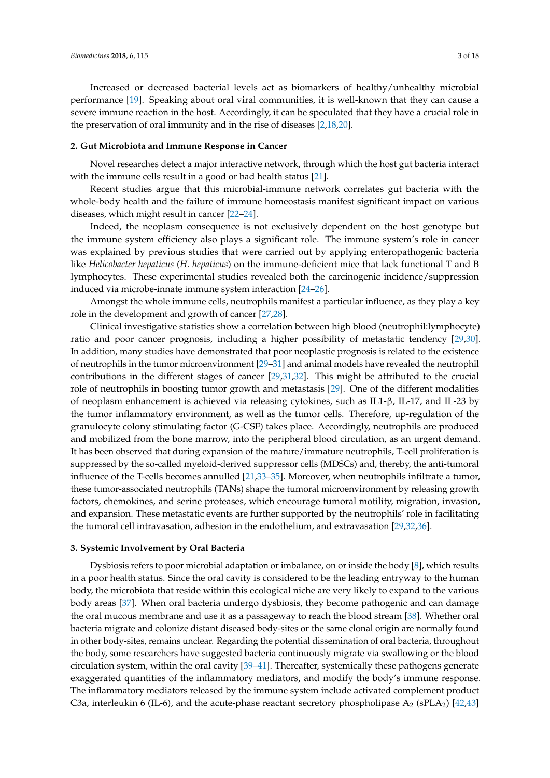Increased or decreased bacterial levels act as biomarkers of healthy/unhealthy microbial performance [\[19\]](#page-11-7). Speaking about oral viral communities, it is well-known that they can cause a severe immune reaction in the host. Accordingly, it can be speculated that they have a crucial role in the preservation of oral immunity and in the rise of diseases [\[2,](#page-10-1)[18,](#page-11-6)[20\]](#page-11-8).

#### **2. Gut Microbiota and Immune Response in Cancer**

Novel researches detect a major interactive network, through which the host gut bacteria interact with the immune cells result in a good or bad health status [\[21\]](#page-11-9).

Recent studies argue that this microbial-immune network correlates gut bacteria with the whole-body health and the failure of immune homeostasis manifest significant impact on various diseases, which might result in cancer [\[22–](#page-11-10)[24\]](#page-11-11).

Indeed, the neoplasm consequence is not exclusively dependent on the host genotype but the immune system efficiency also plays a significant role. The immune system's role in cancer was explained by previous studies that were carried out by applying enteropathogenic bacteria like *Helicobacter hepaticus* (*H. hepaticus*) on the immune-deficient mice that lack functional T and B lymphocytes. These experimental studies revealed both the carcinogenic incidence/suppression induced via microbe-innate immune system interaction [\[24](#page-11-11)[–26\]](#page-11-12).

Amongst the whole immune cells, neutrophils manifest a particular influence, as they play a key role in the development and growth of cancer [\[27](#page-11-13)[,28\]](#page-11-14).

Clinical investigative statistics show a correlation between high blood (neutrophil:lymphocyte) ratio and poor cancer prognosis, including a higher possibility of metastatic tendency [\[29,](#page-11-15)[30\]](#page-11-16). In addition, many studies have demonstrated that poor neoplastic prognosis is related to the existence of neutrophils in the tumor microenvironment [\[29](#page-11-15)[–31\]](#page-11-17) and animal models have revealed the neutrophil contributions in the different stages of cancer [\[29](#page-11-15)[,31](#page-11-17)[,32\]](#page-11-18). This might be attributed to the crucial role of neutrophils in boosting tumor growth and metastasis [\[29\]](#page-11-15). One of the different modalities of neoplasm enhancement is achieved via releasing cytokines, such as IL1-β, IL-17, and IL-23 by the tumor inflammatory environment, as well as the tumor cells. Therefore, up-regulation of the granulocyte colony stimulating factor (G-CSF) takes place. Accordingly, neutrophils are produced and mobilized from the bone marrow, into the peripheral blood circulation, as an urgent demand. It has been observed that during expansion of the mature/immature neutrophils, T-cell proliferation is suppressed by the so-called myeloid-derived suppressor cells (MDSCs) and, thereby, the anti-tumoral influence of the T-cells becomes annulled [\[21,](#page-11-9)[33](#page-12-0)[–35\]](#page-12-1). Moreover, when neutrophils infiltrate a tumor, these tumor-associated neutrophils (TANs) shape the tumoral microenvironment by releasing growth factors, chemokines, and serine proteases, which encourage tumoral motility, migration, invasion, and expansion. These metastatic events are further supported by the neutrophils' role in facilitating the tumoral cell intravasation, adhesion in the endothelium, and extravasation [\[29,](#page-11-15)[32,](#page-11-18)[36\]](#page-12-2).

#### **3. Systemic Involvement by Oral Bacteria**

Dysbiosis refers to poor microbial adaptation or imbalance, on or inside the body [\[8\]](#page-10-7), which results in a poor health status. Since the oral cavity is considered to be the leading entryway to the human body, the microbiota that reside within this ecological niche are very likely to expand to the various body areas [\[37\]](#page-12-3). When oral bacteria undergo dysbiosis, they become pathogenic and can damage the oral mucous membrane and use it as a passageway to reach the blood stream [\[38\]](#page-12-4). Whether oral bacteria migrate and colonize distant diseased body-sites or the same clonal origin are normally found in other body-sites, remains unclear. Regarding the potential dissemination of oral bacteria, throughout the body, some researchers have suggested bacteria continuously migrate via swallowing or the blood circulation system, within the oral cavity [\[39–](#page-12-5)[41\]](#page-12-6). Thereafter, systemically these pathogens generate exaggerated quantities of the inflammatory mediators, and modify the body's immune response. The inflammatory mediators released by the immune system include activated complement product C3a, interleukin 6 (IL-6), and the acute-phase reactant secretory phospholipase  $A_2$  (sPLA<sub>2</sub>) [\[42](#page-12-7)[,43\]](#page-12-8)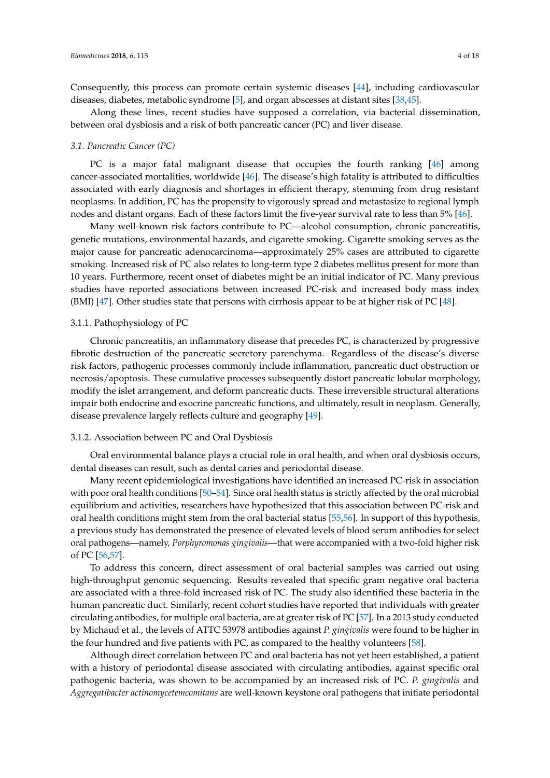Consequently, this process can promote certain systemic diseases [\[44\]](#page-12-9), including cardiovascular diseases, diabetes, metabolic syndrome [\[5\]](#page-10-4), and organ abscesses at distant sites [\[38,](#page-12-4)[45\]](#page-12-10).

Along these lines, recent studies have supposed a correlation, via bacterial dissemination, between oral dysbiosis and a risk of both pancreatic cancer (PC) and liver disease.

# *3.1. Pancreatic Cancer (PC)*

PC is a major fatal malignant disease that occupies the fourth ranking [\[46\]](#page-12-11) among cancer-associated mortalities, worldwide [\[46\]](#page-12-11). The disease's high fatality is attributed to difficulties associated with early diagnosis and shortages in efficient therapy, stemming from drug resistant neoplasms. In addition, PC has the propensity to vigorously spread and metastasize to regional lymph nodes and distant organs. Each of these factors limit the five-year survival rate to less than 5% [\[46\]](#page-12-11).

Many well-known risk factors contribute to PC—alcohol consumption, chronic pancreatitis, genetic mutations, environmental hazards, and cigarette smoking. Cigarette smoking serves as the major cause for pancreatic adenocarcinoma—approximately 25% cases are attributed to cigarette smoking. Increased risk of PC also relates to long-term type 2 diabetes mellitus present for more than 10 years. Furthermore, recent onset of diabetes might be an initial indicator of PC. Many previous studies have reported associations between increased PC-risk and increased body mass index (BMI) [\[47\]](#page-12-12). Other studies state that persons with cirrhosis appear to be at higher risk of PC [\[48\]](#page-12-13).

#### 3.1.1. Pathophysiology of PC

Chronic pancreatitis, an inflammatory disease that precedes PC, is characterized by progressive fibrotic destruction of the pancreatic secretory parenchyma. Regardless of the disease's diverse risk factors, pathogenic processes commonly include inflammation, pancreatic duct obstruction or necrosis/apoptosis. These cumulative processes subsequently distort pancreatic lobular morphology, modify the islet arrangement, and deform pancreatic ducts. These irreversible structural alterations impair both endocrine and exocrine pancreatic functions, and ultimately, result in neoplasm. Generally, disease prevalence largely reflects culture and geography [\[49\]](#page-12-14).

# 3.1.2. Association between PC and Oral Dysbiosis

Oral environmental balance plays a crucial role in oral health, and when oral dysbiosis occurs, dental diseases can result, such as dental caries and periodontal disease.

Many recent epidemiological investigations have identified an increased PC-risk in association with poor oral health conditions [\[50](#page-12-15)[–54\]](#page-12-16). Since oral health status is strictly affected by the oral microbial equilibrium and activities, researchers have hypothesized that this association between PC-risk and oral health conditions might stem from the oral bacterial status [\[55,](#page-13-0)[56\]](#page-13-1). In support of this hypothesis, a previous study has demonstrated the presence of elevated levels of blood serum antibodies for select oral pathogens—namely, *Porphyromonas gingivalis*—that were accompanied with a two-fold higher risk of PC [\[56,](#page-13-1)[57\]](#page-13-2).

To address this concern, direct assessment of oral bacterial samples was carried out using high-throughput genomic sequencing. Results revealed that specific gram negative oral bacteria are associated with a three-fold increased risk of PC. The study also identified these bacteria in the human pancreatic duct. Similarly, recent cohort studies have reported that individuals with greater circulating antibodies, for multiple oral bacteria, are at greater risk of PC [\[57\]](#page-13-2). In a 2013 study conducted by Michaud et al., the levels of ATTC 53978 antibodies against *P. gingivalis* were found to be higher in the four hundred and five patients with PC, as compared to the healthy volunteers [\[58\]](#page-13-3).

Although direct correlation between PC and oral bacteria has not yet been established, a patient with a history of periodontal disease associated with circulating antibodies, against specific oral pathogenic bacteria, was shown to be accompanied by an increased risk of PC. *P. gingivalis* and *Aggregatibacter actinomycetemcomitans* are well-known keystone oral pathogens that initiate periodontal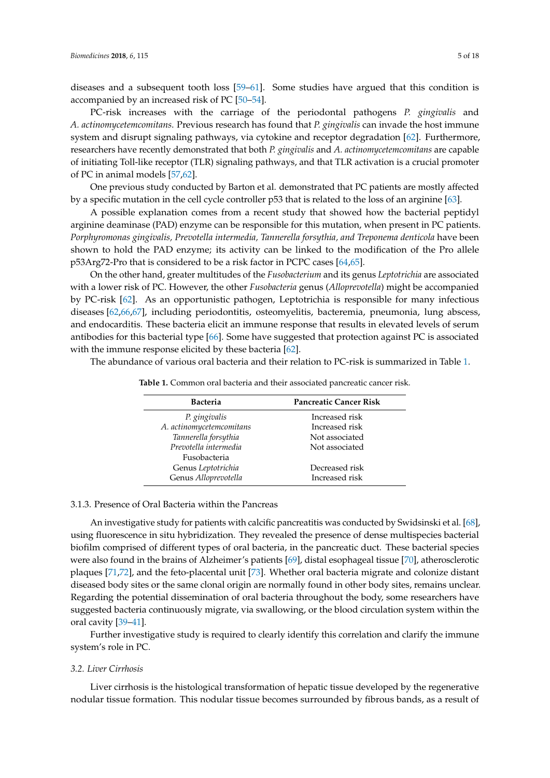diseases and a subsequent tooth loss [\[59](#page-13-4)[–61\]](#page-13-5). Some studies have argued that this condition is accompanied by an increased risk of PC [\[50–](#page-12-15)[54\]](#page-12-16).

PC-risk increases with the carriage of the periodontal pathogens *P. gingivalis* and *A. actinomycetemcomitans*. Previous research has found that *P. gingivalis* can invade the host immune system and disrupt signaling pathways, via cytokine and receptor degradation [\[62\]](#page-13-6). Furthermore, researchers have recently demonstrated that both *P. gingivalis* and *A. actinomycetemcomitans* are capable of initiating Toll-like receptor (TLR) signaling pathways, and that TLR activation is a crucial promoter of PC in animal models [\[57](#page-13-2)[,62\]](#page-13-6).

One previous study conducted by Barton et al. demonstrated that PC patients are mostly affected by a specific mutation in the cell cycle controller p53 that is related to the loss of an arginine [\[63\]](#page-13-7).

A possible explanation comes from a recent study that showed how the bacterial peptidyl arginine deaminase (PAD) enzyme can be responsible for this mutation, when present in PC patients. *Porphyromonas gingivalis, Prevotella intermedia, Tannerella forsythia, and Treponema denticola* have been shown to hold the PAD enzyme; its activity can be linked to the modification of the Pro allele p53Arg72-Pro that is considered to be a risk factor in PCPC cases [\[64](#page-13-8)[,65\]](#page-13-9).

On the other hand, greater multitudes of the *Fusobacterium* and its genus *Leptotrichia* are associated with a lower risk of PC. However, the other *Fusobacteria* genus (*Alloprevotella*) might be accompanied by PC-risk [\[62\]](#page-13-6). As an opportunistic pathogen, Leptotrichia is responsible for many infectious diseases [\[62](#page-13-6)[,66](#page-13-10)[,67\]](#page-13-11), including periodontitis, osteomyelitis, bacteremia, pneumonia, lung abscess, and endocarditis. These bacteria elicit an immune response that results in elevated levels of serum antibodies for this bacterial type [\[66\]](#page-13-10). Some have suggested that protection against PC is associated with the immune response elicited by these bacteria [\[62\]](#page-13-6).

<span id="page-4-0"></span>The abundance of various oral bacteria and their relation to PC-risk is summarized in Table [1.](#page-4-0)

| <b>Bacteria</b>          | <b>Pancreatic Cancer Risk</b> |
|--------------------------|-------------------------------|
| P. gingivalis            | Increased risk                |
| A. actinomycetemcomitans | Increased risk                |
| Tannerella forsythia     | Not associated                |
| Prevotella intermedia    | Not associated                |
| Fusobacteria             |                               |
| Genus Leptotrichia       | Decreased risk                |
| Genus Alloprevotella     | Increased risk                |

**Table 1.** Common oral bacteria and their associated pancreatic cancer risk.

# 3.1.3. Presence of Oral Bacteria within the Pancreas

 $\overline{\phantom{a}}$ 

An investigative study for patients with calcific pancreatitis was conducted by Swidsinski et al. [\[68\]](#page-13-12), using fluorescence in situ hybridization. They revealed the presence of dense multispecies bacterial biofilm comprised of different types of oral bacteria, in the pancreatic duct. These bacterial species were also found in the brains of Alzheimer's patients [\[69\]](#page-13-13), distal esophageal tissue [\[70\]](#page-13-14), atherosclerotic plaques [\[71,](#page-13-15)[72\]](#page-13-16), and the feto-placental unit [\[73\]](#page-13-17). Whether oral bacteria migrate and colonize distant diseased body sites or the same clonal origin are normally found in other body sites, remains unclear. Regarding the potential dissemination of oral bacteria throughout the body, some researchers have suggested bacteria continuously migrate, via swallowing, or the blood circulation system within the oral cavity [\[39](#page-12-5)[–41\]](#page-12-6).

Further investigative study is required to clearly identify this correlation and clarify the immune system's role in PC.

## *3.2. Liver Cirrhosis*

Liver cirrhosis is the histological transformation of hepatic tissue developed by the regenerative nodular tissue formation. This nodular tissue becomes surrounded by fibrous bands, as a result of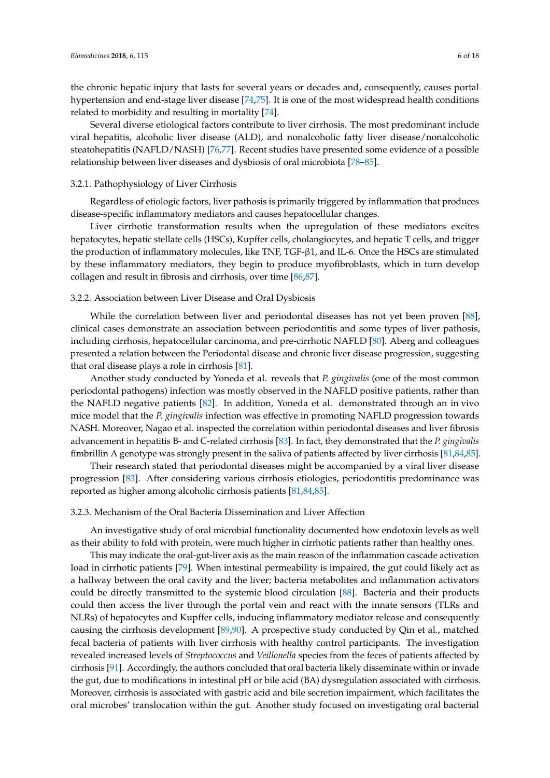the chronic hepatic injury that lasts for several years or decades and, consequently, causes portal hypertension and end-stage liver disease [\[74](#page-13-18)[,75\]](#page-13-19). It is one of the most widespread health conditions related to morbidity and resulting in mortality [\[74\]](#page-13-18).

Several diverse etiological factors contribute to liver cirrhosis. The most predominant include viral hepatitis, alcoholic liver disease (ALD), and nonalcoholic fatty liver disease/nonalcoholic steatohepatitis (NAFLD/NASH) [\[76,](#page-14-0)[77\]](#page-14-1). Recent studies have presented some evidence of a possible relationship between liver diseases and dysbiosis of oral microbiota [\[78–](#page-14-2)[85\]](#page-14-3).

#### 3.2.1. Pathophysiology of Liver Cirrhosis

Regardless of etiologic factors, liver pathosis is primarily triggered by inflammation that produces disease-specific inflammatory mediators and causes hepatocellular changes.

Liver cirrhotic transformation results when the upregulation of these mediators excites hepatocytes, hepatic stellate cells (HSCs), Kupffer cells, cholangiocytes, and hepatic T cells, and trigger the production of inflammatory molecules, like TNF, TGF-β1, and IL-6. Once the HSCs are stimulated by these inflammatory mediators, they begin to produce myofibroblasts, which in turn develop collagen and result in fibrosis and cirrhosis, over time [\[86](#page-14-4)[,87\]](#page-14-5).

# 3.2.2. Association between Liver Disease and Oral Dysbiosis

While the correlation between liver and periodontal diseases has not yet been proven [\[88\]](#page-14-6), clinical cases demonstrate an association between periodontitis and some types of liver pathosis, including cirrhosis, hepatocellular carcinoma, and pre-cirrhotic NAFLD [\[80\]](#page-14-7). Aberg and colleagues presented a relation between the Periodontal disease and chronic liver disease progression, suggesting that oral disease plays a role in cirrhosis [\[81\]](#page-14-8).

Another study conducted by Yoneda et al. reveals that *P. gingivalis* (one of the most common periodontal pathogens) infection was mostly observed in the NAFLD positive patients, rather than the NAFLD negative patients [\[82\]](#page-14-9). In addition, Yoneda et al. demonstrated through an in vivo mice model that the *P. gingivalis* infection was effective in promoting NAFLD progression towards NASH. Moreover, Nagao et al. inspected the correlation within periodontal diseases and liver fibrosis advancement in hepatitis B- and C-related cirrhosis [\[83\]](#page-14-10). In fact, they demonstrated that the *P. gingivalis* fimbrillin A genotype was strongly present in the saliva of patients affected by liver cirrhosis [\[81](#page-14-8)[,84](#page-14-11)[,85\]](#page-14-3).

Their research stated that periodontal diseases might be accompanied by a viral liver disease progression [\[83\]](#page-14-10). After considering various cirrhosis etiologies, periodontitis predominance was reported as higher among alcoholic cirrhosis patients [\[81,](#page-14-8)[84,](#page-14-11)[85\]](#page-14-3).

#### 3.2.3. Mechanism of the Oral Bacteria Dissemination and Liver Affection

An investigative study of oral microbial functionality documented how endotoxin levels as well as their ability to fold with protein, were much higher in cirrhotic patients rather than healthy ones.

This may indicate the oral-gut-liver axis as the main reason of the inflammation cascade activation load in cirrhotic patients [\[79\]](#page-14-12). When intestinal permeability is impaired, the gut could likely act as a hallway between the oral cavity and the liver; bacteria metabolites and inflammation activators could be directly transmitted to the systemic blood circulation [\[88\]](#page-14-6). Bacteria and their products could then access the liver through the portal vein and react with the innate sensors (TLRs and NLRs) of hepatocytes and Kupffer cells, inducing inflammatory mediator release and consequently causing the cirrhosis development [\[89](#page-14-13)[,90\]](#page-14-14). A prospective study conducted by Qin et al., matched fecal bacteria of patients with liver cirrhosis with healthy control participants. The investigation revealed increased levels of *Streptococcus* and *Veillonella* species from the feces of patients affected by cirrhosis [\[91\]](#page-14-15). Accordingly, the authors concluded that oral bacteria likely disseminate within or invade the gut, due to modifications in intestinal pH or bile acid (BA) dysregulation associated with cirrhosis. Moreover, cirrhosis is associated with gastric acid and bile secretion impairment, which facilitates the oral microbes' translocation within the gut. Another study focused on investigating oral bacterial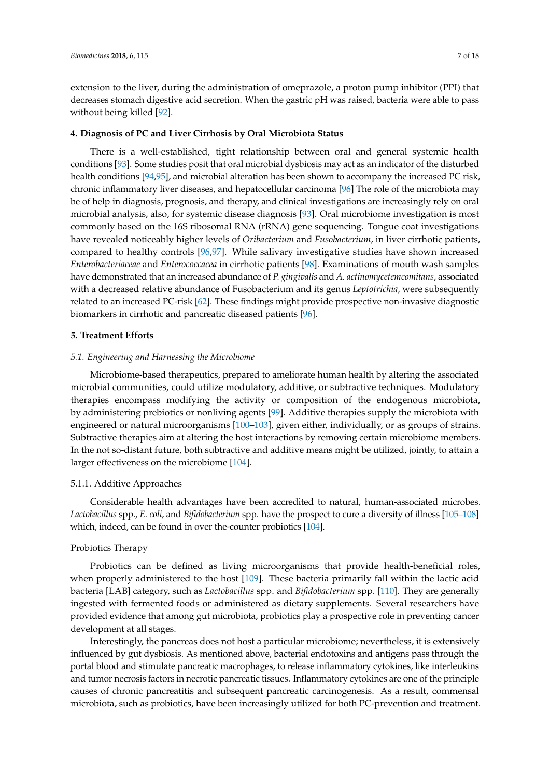extension to the liver, during the administration of omeprazole, a proton pump inhibitor (PPI) that decreases stomach digestive acid secretion. When the gastric pH was raised, bacteria were able to pass without being killed [\[92\]](#page-14-16).

#### **4. Diagnosis of PC and Liver Cirrhosis by Oral Microbiota Status**

There is a well-established, tight relationship between oral and general systemic health conditions [\[93\]](#page-14-17). Some studies posit that oral microbial dysbiosis may act as an indicator of the disturbed health conditions [\[94,](#page-14-18)[95\]](#page-14-19), and microbial alteration has been shown to accompany the increased PC risk, chronic inflammatory liver diseases, and hepatocellular carcinoma [\[96\]](#page-14-20) The role of the microbiota may be of help in diagnosis, prognosis, and therapy, and clinical investigations are increasingly rely on oral microbial analysis, also, for systemic disease diagnosis [\[93\]](#page-14-17). Oral microbiome investigation is most commonly based on the 16S ribosomal RNA (rRNA) gene sequencing. Tongue coat investigations have revealed noticeably higher levels of *Oribacterium* and *Fusobacterium*, in liver cirrhotic patients, compared to healthy controls [\[96,](#page-14-20)[97\]](#page-14-21). While salivary investigative studies have shown increased *Enterobacteriaceae* and *Enterococcacea* in cirrhotic patients [\[98\]](#page-14-22). Examinations of mouth wash samples have demonstrated that an increased abundance of *P. gingivalis* and *A. actinomycetemcomitans*, associated with a decreased relative abundance of Fusobacterium and its genus *Leptotrichia*, were subsequently related to an increased PC-risk [\[62\]](#page-13-6). These findings might provide prospective non-invasive diagnostic biomarkers in cirrhotic and pancreatic diseased patients [\[96\]](#page-14-20).

## **5. Treatment Efforts**

# *5.1. Engineering and Harnessing the Microbiome*

Microbiome-based therapeutics, prepared to ameliorate human health by altering the associated microbial communities, could utilize modulatory, additive, or subtractive techniques. Modulatory therapies encompass modifying the activity or composition of the endogenous microbiota, by administering prebiotics or nonliving agents [\[99\]](#page-15-0). Additive therapies supply the microbiota with engineered or natural microorganisms [\[100](#page-15-1)[–103\]](#page-15-2), given either, individually, or as groups of strains. Subtractive therapies aim at altering the host interactions by removing certain microbiome members. In the not so-distant future, both subtractive and additive means might be utilized, jointly, to attain a larger effectiveness on the microbiome [\[104\]](#page-15-3).

#### 5.1.1. Additive Approaches

Considerable health advantages have been accredited to natural, human-associated microbes. *Lactobacillus* spp., *E. coli*, and *Bifidobacterium* spp. have the prospect to cure a diversity of illness [\[105](#page-15-4)[–108\]](#page-15-5) which, indeed, can be found in over the-counter probiotics [\[104\]](#page-15-3).

#### Probiotics Therapy

Probiotics can be defined as living microorganisms that provide health-beneficial roles, when properly administered to the host [\[109\]](#page-15-6). These bacteria primarily fall within the lactic acid bacteria [LAB] category, such as *Lactobacillus* spp. and *Bifidobacterium* spp. [\[110\]](#page-15-7). They are generally ingested with fermented foods or administered as dietary supplements. Several researchers have provided evidence that among gut microbiota, probiotics play a prospective role in preventing cancer development at all stages.

Interestingly, the pancreas does not host a particular microbiome; nevertheless, it is extensively influenced by gut dysbiosis. As mentioned above, bacterial endotoxins and antigens pass through the portal blood and stimulate pancreatic macrophages, to release inflammatory cytokines, like interleukins and tumor necrosis factors in necrotic pancreatic tissues. Inflammatory cytokines are one of the principle causes of chronic pancreatitis and subsequent pancreatic carcinogenesis. As a result, commensal microbiota, such as probiotics, have been increasingly utilized for both PC-prevention and treatment.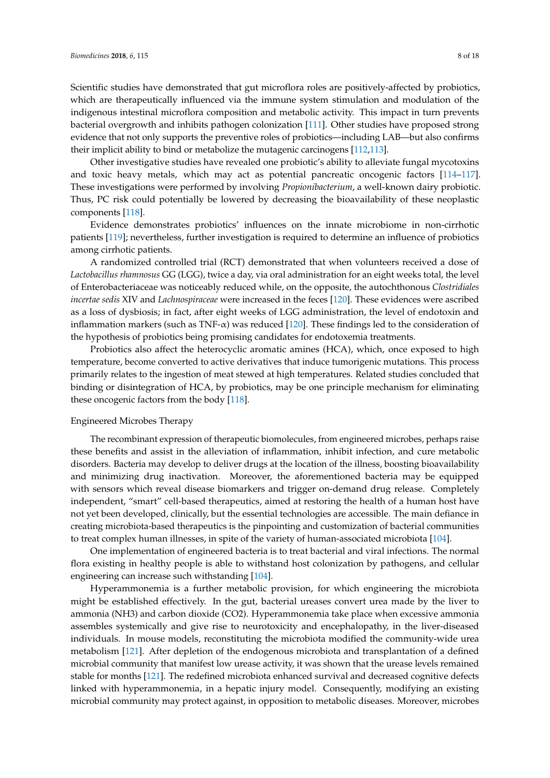Scientific studies have demonstrated that gut microflora roles are positively-affected by probiotics,

which are therapeutically influenced via the immune system stimulation and modulation of the indigenous intestinal microflora composition and metabolic activity. This impact in turn prevents bacterial overgrowth and inhibits pathogen colonization [\[111\]](#page-15-8). Other studies have proposed strong evidence that not only supports the preventive roles of probiotics—including LAB—but also confirms their implicit ability to bind or metabolize the mutagenic carcinogens [\[112](#page-15-9)[,113\]](#page-15-10).

Other investigative studies have revealed one probiotic's ability to alleviate fungal mycotoxins and toxic heavy metals, which may act as potential pancreatic oncogenic factors [\[114–](#page-15-11)[117\]](#page-15-12). These investigations were performed by involving *Propionibacterium*, a well-known dairy probiotic. Thus, PC risk could potentially be lowered by decreasing the bioavailability of these neoplastic components [\[118\]](#page-15-13).

Evidence demonstrates probiotics' influences on the innate microbiome in non-cirrhotic patients [\[119\]](#page-15-14); nevertheless, further investigation is required to determine an influence of probiotics among cirrhotic patients.

A randomized controlled trial (RCT) demonstrated that when volunteers received a dose of *Lactobacillus rhamnosus* GG (LGG), twice a day, via oral administration for an eight weeks total, the level of Enterobacteriaceae was noticeably reduced while, on the opposite, the autochthonous *Clostridiales incertae sedis* XIV and *Lachnospiraceae* were increased in the feces [\[120\]](#page-16-0). These evidences were ascribed as a loss of dysbiosis; in fact, after eight weeks of LGG administration, the level of endotoxin and inflammation markers (such as TNF- $\alpha$ ) was reduced [\[120\]](#page-16-0). These findings led to the consideration of the hypothesis of probiotics being promising candidates for endotoxemia treatments.

Probiotics also affect the heterocyclic aromatic amines (HCA), which, once exposed to high temperature, become converted to active derivatives that induce tumorigenic mutations. This process primarily relates to the ingestion of meat stewed at high temperatures. Related studies concluded that binding or disintegration of HCA, by probiotics, may be one principle mechanism for eliminating these oncogenic factors from the body [\[118\]](#page-15-13).

# Engineered Microbes Therapy

The recombinant expression of therapeutic biomolecules, from engineered microbes, perhaps raise these benefits and assist in the alleviation of inflammation, inhibit infection, and cure metabolic disorders. Bacteria may develop to deliver drugs at the location of the illness, boosting bioavailability and minimizing drug inactivation. Moreover, the aforementioned bacteria may be equipped with sensors which reveal disease biomarkers and trigger on-demand drug release. Completely independent, "smart" cell-based therapeutics, aimed at restoring the health of a human host have not yet been developed, clinically, but the essential technologies are accessible. The main defiance in creating microbiota-based therapeutics is the pinpointing and customization of bacterial communities to treat complex human illnesses, in spite of the variety of human-associated microbiota [\[104\]](#page-15-3).

One implementation of engineered bacteria is to treat bacterial and viral infections. The normal flora existing in healthy people is able to withstand host colonization by pathogens, and cellular engineering can increase such withstanding [\[104\]](#page-15-3).

Hyperammonemia is a further metabolic provision, for which engineering the microbiota might be established effectively. In the gut, bacterial ureases convert urea made by the liver to ammonia (NH3) and carbon dioxide (CO2). Hyperammonemia take place when excessive ammonia assembles systemically and give rise to neurotoxicity and encephalopathy, in the liver-diseased individuals. In mouse models, reconstituting the microbiota modified the community-wide urea metabolism [\[121\]](#page-16-1). After depletion of the endogenous microbiota and transplantation of a defined microbial community that manifest low urease activity, it was shown that the urease levels remained stable for months [\[121\]](#page-16-1). The redefined microbiota enhanced survival and decreased cognitive defects linked with hyperammonemia, in a hepatic injury model. Consequently, modifying an existing microbial community may protect against, in opposition to metabolic diseases. Moreover, microbes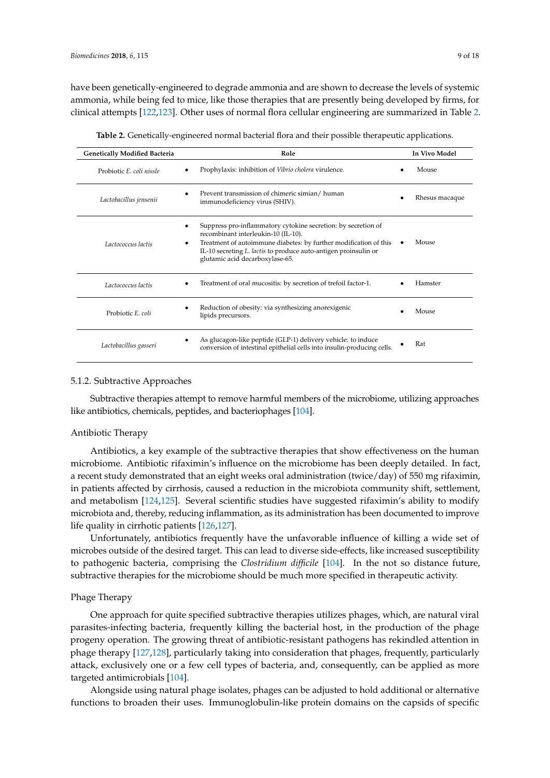have been genetically-engineered to degrade ammonia and are shown to decrease the levels of systemic ammonia, while being fed to mice, like those therapies that are presently being developed by firms, for clinical attempts [\[122,](#page-16-2)[123\]](#page-16-3). Other uses of normal flora cellular engineering are summarized in Table [2.](#page-8-0)

<span id="page-8-0"></span>

| <b>Genetically Modified Bacteria</b> | Role                                                                                                                                                                                                                                                                            | In Vivo Model  |
|--------------------------------------|---------------------------------------------------------------------------------------------------------------------------------------------------------------------------------------------------------------------------------------------------------------------------------|----------------|
| Probiotic E. coli nissle             | Prophylaxis: inhibition of Vibrio cholera virulence.                                                                                                                                                                                                                            | Mouse          |
| Lactobacillus jensenii               | Prevent transmission of chimeric simian/human<br>immunodeficiency virus (SHIV).                                                                                                                                                                                                 | Rhesus macaque |
| Lactococcus lactis                   | Suppress pro-inflammatory cytokine secretion: by secretion of<br>recombinant interleukin-10 (IL-10).<br>Treatment of autoimmune diabetes: by further modification of this<br>IL-10 secreting L. lactis to produce auto-antigen proinsulin or<br>glutamic acid decarboxylase-65. | Mouse          |
| Lactococcus lactis                   | Treatment of oral mucositis: by secretion of trefoil factor-1.                                                                                                                                                                                                                  | Hamster        |
| Probiotic E. coli                    | Reduction of obesity: via synthesizing anorexigenic<br>lipids precursors.                                                                                                                                                                                                       | Mouse          |
| Lactobacillus gasseri                | As glucagon-like peptide (GLP-1) delivery vehicle: to induce<br>conversion of intestinal epithelial cells into insulin-producing cells.                                                                                                                                         | Rat            |

**Table 2.** Genetically-engineered normal bacterial flora and their possible therapeutic applications.

# 5.1.2. Subtractive Approaches

Subtractive therapies attempt to remove harmful members of the microbiome, utilizing approaches like antibiotics, chemicals, peptides, and bacteriophages [\[104\]](#page-15-3).

#### Antibiotic Therapy

Antibiotics, a key example of the subtractive therapies that show effectiveness on the human microbiome. Antibiotic rifaximin's influence on the microbiome has been deeply detailed. In fact, a recent study demonstrated that an eight weeks oral administration (twice/day) of 550 mg rifaximin, in patients affected by cirrhosis, caused a reduction in the microbiota community shift, settlement, and metabolism [\[124,](#page-16-4)[125\]](#page-16-5). Several scientific studies have suggested rifaximin's ability to modify microbiota and, thereby, reducing inflammation, as its administration has been documented to improve life quality in cirrhotic patients [\[126](#page-16-6)[,127\]](#page-16-7).

Unfortunately, antibiotics frequently have the unfavorable influence of killing a wide set of microbes outside of the desired target. This can lead to diverse side-effects, like increased susceptibility to pathogenic bacteria, comprising the *Clostridium difficile* [\[104\]](#page-15-3). In the not so distance future, subtractive therapies for the microbiome should be much more specified in therapeutic activity.

#### Phage Therapy

One approach for quite specified subtractive therapies utilizes phages, which, are natural viral parasites-infecting bacteria, frequently killing the bacterial host, in the production of the phage progeny operation. The growing threat of antibiotic-resistant pathogens has rekindled attention in phage therapy [\[127,](#page-16-7)[128\]](#page-16-8), particularly taking into consideration that phages, frequently, particularly attack, exclusively one or a few cell types of bacteria, and, consequently, can be applied as more targeted antimicrobials [\[104\]](#page-15-3).

Alongside using natural phage isolates, phages can be adjusted to hold additional or alternative functions to broaden their uses. Immunoglobulin-like protein domains on the capsids of specific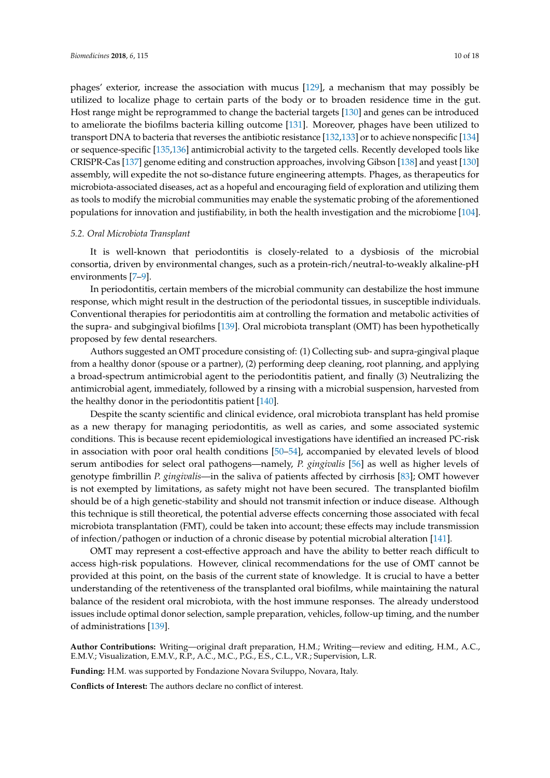phages' exterior, increase the association with mucus [\[129\]](#page-16-9), a mechanism that may possibly be utilized to localize phage to certain parts of the body or to broaden residence time in the gut. Host range might be reprogrammed to change the bacterial targets [\[130\]](#page-16-10) and genes can be introduced to ameliorate the biofilms bacteria killing outcome [\[131\]](#page-16-11). Moreover, phages have been utilized to transport DNA to bacteria that reverses the antibiotic resistance [\[132](#page-16-12)[,133\]](#page-16-13) or to achieve nonspecific [\[134\]](#page-16-14) or sequence-specific [\[135](#page-16-15)[,136\]](#page-16-16) antimicrobial activity to the targeted cells. Recently developed tools like CRISPR-Cas [\[137\]](#page-16-17) genome editing and construction approaches, involving Gibson [\[138\]](#page-16-18) and yeast [\[130\]](#page-16-10) assembly, will expedite the not so-distance future engineering attempts. Phages, as therapeutics for microbiota-associated diseases, act as a hopeful and encouraging field of exploration and utilizing them as tools to modify the microbial communities may enable the systematic probing of the aforementioned populations for innovation and justifiability, in both the health investigation and the microbiome [\[104\]](#page-15-3).

# *5.2. Oral Microbiota Transplant*

It is well-known that periodontitis is closely-related to a dysbiosis of the microbial consortia, driven by environmental changes, such as a protein-rich/neutral-to-weakly alkaline-pH environments [\[7](#page-10-6)[–9\]](#page-10-8).

In periodontitis, certain members of the microbial community can destabilize the host immune response, which might result in the destruction of the periodontal tissues, in susceptible individuals. Conventional therapies for periodontitis aim at controlling the formation and metabolic activities of the supra- and subgingival biofilms [\[139\]](#page-16-19). Oral microbiota transplant (OMT) has been hypothetically proposed by few dental researchers.

Authors suggested an OMT procedure consisting of: (1) Collecting sub- and supra-gingival plaque from a healthy donor (spouse or a partner), (2) performing deep cleaning, root planning, and applying a broad-spectrum antimicrobial agent to the periodontitis patient, and finally (3) Neutralizing the antimicrobial agent, immediately, followed by a rinsing with a microbial suspension, harvested from the healthy donor in the periodontitis patient [\[140\]](#page-17-0).

Despite the scanty scientific and clinical evidence, oral microbiota transplant has held promise as a new therapy for managing periodontitis, as well as caries, and some associated systemic conditions. This is because recent epidemiological investigations have identified an increased PC-risk in association with poor oral health conditions [\[50](#page-12-15)[–54\]](#page-12-16), accompanied by elevated levels of blood serum antibodies for select oral pathogens—namely, *P. gingivalis* [\[56\]](#page-13-1) as well as higher levels of genotype fimbrillin *P. gingivalis*—in the saliva of patients affected by cirrhosis [\[83\]](#page-14-10); OMT however is not exempted by limitations, as safety might not have been secured. The transplanted biofilm should be of a high genetic-stability and should not transmit infection or induce disease. Although this technique is still theoretical, the potential adverse effects concerning those associated with fecal microbiota transplantation (FMT), could be taken into account; these effects may include transmission of infection/pathogen or induction of a chronic disease by potential microbial alteration [\[141\]](#page-17-1).

OMT may represent a cost-effective approach and have the ability to better reach difficult to access high-risk populations. However, clinical recommendations for the use of OMT cannot be provided at this point, on the basis of the current state of knowledge. It is crucial to have a better understanding of the retentiveness of the transplanted oral biofilms, while maintaining the natural balance of the resident oral microbiota, with the host immune responses. The already understood issues include optimal donor selection, sample preparation, vehicles, follow-up timing, and the number of administrations [\[139\]](#page-16-19).

**Author Contributions:** Writing—original draft preparation, H.M.; Writing—review and editing, H.M., A.C., E.M.V.; Visualization, E.M.V., R.P., A.C., M.C., P.G., E.S., C.L., V.R.; Supervision, L.R.

**Funding:** H.M. was supported by Fondazione Novara Sviluppo, Novara, Italy.

**Conflicts of Interest:** The authors declare no conflict of interest.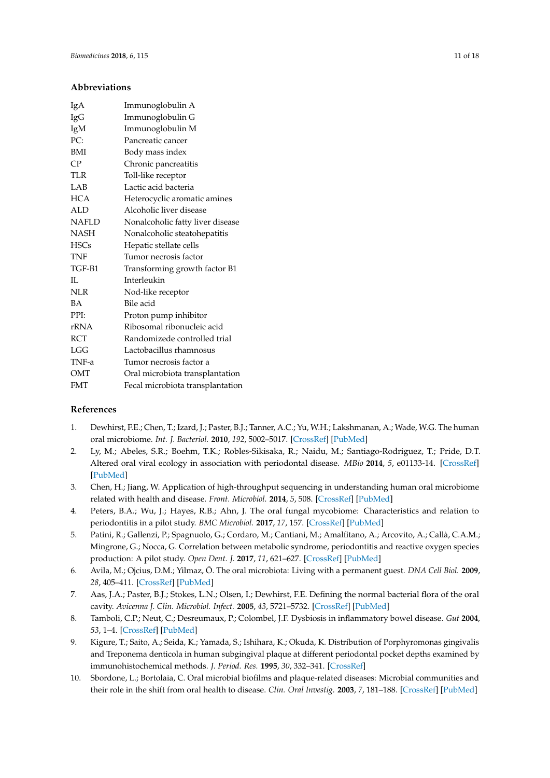# **Abbreviations**

| IgA          | Immunoglobulin A                 |
|--------------|----------------------------------|
| IgG          | Immunoglobulin G                 |
| IgM          | Immunoglobulin M                 |
| PC:          | Pancreatic cancer                |
| <b>BMI</b>   | Body mass index                  |
| CP           | Chronic pancreatitis             |
| <b>TLR</b>   | Toll-like receptor               |
| LAB          | Lactic acid bacteria             |
| <b>HCA</b>   | Heterocyclic aromatic amines     |
| ALD          | Alcoholic liver disease          |
| <b>NAFLD</b> | Nonalcoholic fatty liver disease |
| <b>NASH</b>  | Nonalcoholic steatohepatitis     |
| <b>HSCs</b>  | Hepatic stellate cells           |
| <b>TNF</b>   | Tumor necrosis factor            |
| TGF-B1       | Transforming growth factor B1    |
| Π.           | Interleukin                      |
| NLR          | Nod-like receptor                |
| BA           | Bile acid                        |
| PPI:         | Proton pump inhibitor            |
| rRNA         | Ribosomal ribonucleic acid       |
| <b>RCT</b>   | Randomizede controlled trial     |
| LGG          | Lactobacillus rhamnosus          |
| TNF-a        | Tumor necrosis factor a          |
| <b>OMT</b>   | Oral microbiota transplantation  |
| <b>FMT</b>   | Fecal microbiota transplantation |

# **References**

- <span id="page-10-0"></span>1. Dewhirst, F.E.; Chen, T.; Izard, J.; Paster, B.J.; Tanner, A.C.; Yu, W.H.; Lakshmanan, A.; Wade, W.G. The human oral microbiome. *Int. J. Bacteriol.* **2010**, *192*, 5002–5017. [\[CrossRef\]](http://dx.doi.org/10.1128/JB.00542-10) [\[PubMed\]](http://www.ncbi.nlm.nih.gov/pubmed/20656903)
- <span id="page-10-1"></span>2. Ly, M.; Abeles, S.R.; Boehm, T.K.; Robles-Sikisaka, R.; Naidu, M.; Santiago-Rodriguez, T.; Pride, D.T. Altered oral viral ecology in association with periodontal disease. *MBio* **2014**, *5*, e01133-14. [\[CrossRef\]](http://dx.doi.org/10.1128/mBio.01133-14) [\[PubMed\]](http://www.ncbi.nlm.nih.gov/pubmed/24846382)
- <span id="page-10-2"></span>3. Chen, H.; Jiang, W. Application of high-throughput sequencing in understanding human oral microbiome related with health and disease. *Front. Microbiol.* **2014**, *5*, 508. [\[CrossRef\]](http://dx.doi.org/10.3389/fmicb.2014.00508) [\[PubMed\]](http://www.ncbi.nlm.nih.gov/pubmed/25352835)
- <span id="page-10-3"></span>4. Peters, B.A.; Wu, J.; Hayes, R.B.; Ahn, J. The oral fungal mycobiome: Characteristics and relation to periodontitis in a pilot study. *BMC Microbiol.* **2017**, *17*, 157. [\[CrossRef\]](http://dx.doi.org/10.1186/s12866-017-1064-9) [\[PubMed\]](http://www.ncbi.nlm.nih.gov/pubmed/28701186)
- <span id="page-10-4"></span>5. Patini, R.; Gallenzi, P.; Spagnuolo, G.; Cordaro, M.; Cantiani, M.; Amalfitano, A.; Arcovito, A.; Callà, C.A.M.; Mingrone, G.; Nocca, G. Correlation between metabolic syndrome, periodontitis and reactive oxygen species production: A pilot study. *Open Dent. J.* **2017**, *11*, 621–627. [\[CrossRef\]](http://dx.doi.org/10.2174/1874210601711010621) [\[PubMed\]](http://www.ncbi.nlm.nih.gov/pubmed/29290840)
- <span id="page-10-5"></span>6. Avila, M.; Ojcius, D.M.; Yilmaz, Ö. The oral microbiota: Living with a permanent guest. *DNA Cell Biol.* **2009**, *28*, 405–411. [\[CrossRef\]](http://dx.doi.org/10.1089/dna.2009.0874) [\[PubMed\]](http://www.ncbi.nlm.nih.gov/pubmed/19485767)
- <span id="page-10-6"></span>7. Aas, J.A.; Paster, B.J.; Stokes, L.N.; Olsen, I.; Dewhirst, F.E. Defining the normal bacterial flora of the oral cavity. *Avicenna J. Clin. Microbiol. Infect.* **2005**, *43*, 5721–5732. [\[CrossRef\]](http://dx.doi.org/10.1128/JCM.43.11.5721-5732.2005) [\[PubMed\]](http://www.ncbi.nlm.nih.gov/pubmed/16272510)
- <span id="page-10-7"></span>8. Tamboli, C.P.; Neut, C.; Desreumaux, P.; Colombel, J.F. Dysbiosis in inflammatory bowel disease. *Gut* **2004**, *53*, 1–4. [\[CrossRef\]](http://dx.doi.org/10.1136/gut.53.1.1) [\[PubMed\]](http://www.ncbi.nlm.nih.gov/pubmed/14684564)
- <span id="page-10-8"></span>9. Kigure, T.; Saito, A.; Seida, K.; Yamada, S.; Ishihara, K.; Okuda, K. Distribution of Porphyromonas gingivalis and Treponema denticola in human subgingival plaque at different periodontal pocket depths examined by immunohistochemical methods. *J. Period. Res.* **1995**, *30*, 332–341. [\[CrossRef\]](http://dx.doi.org/10.1111/j.1600-0765.1995.tb01284.x)
- 10. Sbordone, L.; Bortolaia, C. Oral microbial biofilms and plaque-related diseases: Microbial communities and their role in the shift from oral health to disease. *Clin. Oral Investig.* **2003**, *7*, 181–188. [\[CrossRef\]](http://dx.doi.org/10.1007/s00784-003-0236-1) [\[PubMed\]](http://www.ncbi.nlm.nih.gov/pubmed/14598129)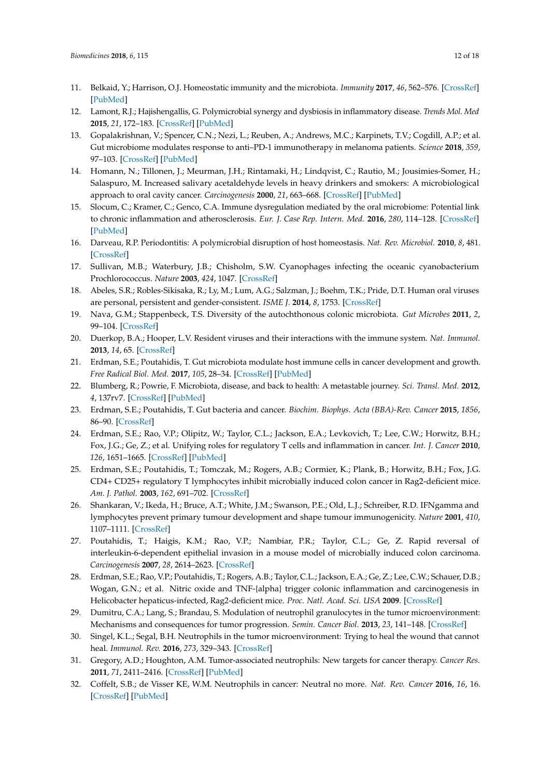- <span id="page-11-3"></span>11. Belkaid, Y.; Harrison, O.J. Homeostatic immunity and the microbiota. *Immunity* **2017**, *46*, 562–576. [\[CrossRef\]](http://dx.doi.org/10.1016/j.immuni.2017.04.008) [\[PubMed\]](http://www.ncbi.nlm.nih.gov/pubmed/28423337)
- <span id="page-11-0"></span>12. Lamont, R.J.; Hajishengallis, G. Polymicrobial synergy and dysbiosis in inflammatory disease. *Trends Mol. Med* **2015**, *21*, 172–183. [\[CrossRef\]](http://dx.doi.org/10.1016/j.molmed.2014.11.004) [\[PubMed\]](http://www.ncbi.nlm.nih.gov/pubmed/25498392)
- <span id="page-11-1"></span>13. Gopalakrishnan, V.; Spencer, C.N.; Nezi, L.; Reuben, A.; Andrews, M.C.; Karpinets, T.V.; Cogdill, A.P.; et al. Gut microbiome modulates response to anti–PD-1 immunotherapy in melanoma patients. *Science* **2018**, *359*, 97–103. [\[CrossRef\]](http://dx.doi.org/10.1126/science.aan4236) [\[PubMed\]](http://www.ncbi.nlm.nih.gov/pubmed/29097493)
- 14. Homann, N.; Tillonen, J.; Meurman, J.H.; Rintamaki, H.; Lindqvist, C.; Rautio, M.; Jousimies-Somer, H.; Salaspuro, M. Increased salivary acetaldehyde levels in heavy drinkers and smokers: A microbiological approach to oral cavity cancer. *Carcinogenesis* **2000**, *21*, 663–668. [\[CrossRef\]](http://dx.doi.org/10.1093/carcin/21.4.663) [\[PubMed\]](http://www.ncbi.nlm.nih.gov/pubmed/10753201)
- <span id="page-11-2"></span>15. Slocum, C.; Kramer, C.; Genco, C.A. Immune dysregulation mediated by the oral microbiome: Potential link to chronic inflammation and atherosclerosis. *Eur. J. Case Rep. Intern. Med.* **2016**, *280*, 114–128. [\[CrossRef\]](http://dx.doi.org/10.1111/joim.12476) [\[PubMed\]](http://www.ncbi.nlm.nih.gov/pubmed/26791914)
- <span id="page-11-4"></span>16. Darveau, R.P. Periodontitis: A polymicrobial disruption of host homeostasis. *Nat. Rev. Microbiol.* **2010**, *8*, 481. [\[CrossRef\]](http://dx.doi.org/10.1038/nrmicro2337)
- <span id="page-11-5"></span>17. Sullivan, M.B.; Waterbury, J.B.; Chisholm, S.W. Cyanophages infecting the oceanic cyanobacterium Prochlorococcus. *Nature* **2003**, *424*, 1047. [\[CrossRef\]](http://dx.doi.org/10.1038/nature01929)
- <span id="page-11-6"></span>18. Abeles, S.R.; Robles-Sikisaka, R.; Ly, M.; Lum, A.G.; Salzman, J.; Boehm, T.K.; Pride, D.T. Human oral viruses are personal, persistent and gender-consistent. *ISME J.* **2014**, *8*, 1753. [\[CrossRef\]](http://dx.doi.org/10.1038/ismej.2014.31)
- <span id="page-11-7"></span>19. Nava, G.M.; Stappenbeck, T.S. Diversity of the autochthonous colonic microbiota. *Gut Microbes* **2011**, *2*, 99–104. [\[CrossRef\]](http://dx.doi.org/10.4161/gmic.2.2.15416)
- <span id="page-11-8"></span>20. Duerkop, B.A.; Hooper, L.V. Resident viruses and their interactions with the immune system. *Nat. Immunol.* **2013**, *14*, 65. [\[CrossRef\]](http://dx.doi.org/10.1038/ni.2614)
- <span id="page-11-9"></span>21. Erdman, S.E.; Poutahidis, T. Gut microbiota modulate host immune cells in cancer development and growth. *Free Radical Biol. Med.* **2017**, *105*, 28–34. [\[CrossRef\]](http://dx.doi.org/10.1016/j.freeradbiomed.2016.11.013) [\[PubMed\]](http://www.ncbi.nlm.nih.gov/pubmed/27840315)
- <span id="page-11-10"></span>22. Blumberg, R.; Powrie, F. Microbiota, disease, and back to health: A metastable journey. *Sci. Transl. Med.* **2012**, *4*, 137rv7. [\[CrossRef\]](http://dx.doi.org/10.1126/scitranslmed.3004184) [\[PubMed\]](http://www.ncbi.nlm.nih.gov/pubmed/22674557)
- 23. Erdman, S.E.; Poutahidis, T. Gut bacteria and cancer. *Biochim. Biophys. Acta (BBA)-Rev. Cancer* **2015**, *1856*, 86–90. [\[CrossRef\]](http://dx.doi.org/10.1016/j.bbcan.2015.05.007)
- <span id="page-11-11"></span>24. Erdman, S.E.; Rao, V.P.; Olipitz, W.; Taylor, C.L.; Jackson, E.A.; Levkovich, T.; Lee, C.W.; Horwitz, B.H.; Fox, J.G.; Ge, Z.; et al. Unifying roles for regulatory T cells and inflammation in cancer. *Int. J. Cancer* **2010**, *126*, 1651–1665. [\[CrossRef\]](http://dx.doi.org/10.1002/ijc.24923) [\[PubMed\]](http://www.ncbi.nlm.nih.gov/pubmed/19795459)
- 25. Erdman, S.E.; Poutahidis, T.; Tomczak, M.; Rogers, A.B.; Cormier, K.; Plank, B.; Horwitz, B.H.; Fox, J.G. CD4+ CD25+ regulatory T lymphocytes inhibit microbially induced colon cancer in Rag2-deficient mice. *Am. J. Pathol.* **2003**, *162*, 691–702. [\[CrossRef\]](http://dx.doi.org/10.1016/S0002-9440(10)63863-1)
- <span id="page-11-12"></span>26. Shankaran, V.; Ikeda, H.; Bruce, A.T.; White, J.M.; Swanson, P.E.; Old, L.J.; Schreiber, R.D. IFNgamma and lymphocytes prevent primary tumour development and shape tumour immunogenicity. *Nature* **2001**, *410*, 1107–1111. [\[CrossRef\]](http://dx.doi.org/10.1038/35074122)
- <span id="page-11-13"></span>27. Poutahidis, T.; Haigis, K.M.; Rao, V.P.; Nambiar, P.R.; Taylor, C.L.; Ge, Z. Rapid reversal of interleukin-6-dependent epithelial invasion in a mouse model of microbially induced colon carcinoma. *Carcinogenesis* **2007**, *28*, 2614–2623. [\[CrossRef\]](http://dx.doi.org/10.1093/carcin/bgm180)
- <span id="page-11-14"></span>28. Erdman, S.E.; Rao, V.P.; Poutahidis, T.; Rogers, A.B.; Taylor, C.L.; Jackson, E.A.; Ge, Z.; Lee, C.W.; Schauer, D.B.; Wogan, G.N.; et al. Nitric oxide and TNF-{alpha} trigger colonic inflammation and carcinogenesis in Helicobacter hepaticus-infected, Rag2-deficient mice. *Proc. Natl. Acad. Sci. USA* **2009**. [\[CrossRef\]](http://dx.doi.org/10.1073/pnas.0812347106)
- <span id="page-11-15"></span>29. Dumitru, C.A.; Lang, S.; Brandau, S. Modulation of neutrophil granulocytes in the tumor microenvironment: Mechanisms and consequences for tumor progression. *Semin. Cancer Biol.* **2013**, *23*, 141–148. [\[CrossRef\]](http://dx.doi.org/10.1016/j.semcancer.2013.02.005)
- <span id="page-11-16"></span>30. Singel, K.L.; Segal, B.H. Neutrophils in the tumor microenvironment: Trying to heal the wound that cannot heal. *Immunol. Rev.* **2016**, *273*, 329–343. [\[CrossRef\]](http://dx.doi.org/10.1111/imr.12459)
- <span id="page-11-17"></span>31. Gregory, A.D.; Houghton, A.M. Tumor-associated neutrophils: New targets for cancer therapy. *Cancer Res.* **2011**, *71*, 2411–2416. [\[CrossRef\]](http://dx.doi.org/10.1158/0008-5472.CAN-10-2583) [\[PubMed\]](http://www.ncbi.nlm.nih.gov/pubmed/21427354)
- <span id="page-11-18"></span>32. Coffelt, S.B.; de Visser KE, W.M. Neutrophils in cancer: Neutral no more. *Nat. Rev. Cancer* **2016**, *16*, 16. [\[CrossRef\]](http://dx.doi.org/10.1038/nrc.2016.52) [\[PubMed\]](http://www.ncbi.nlm.nih.gov/pubmed/27282249)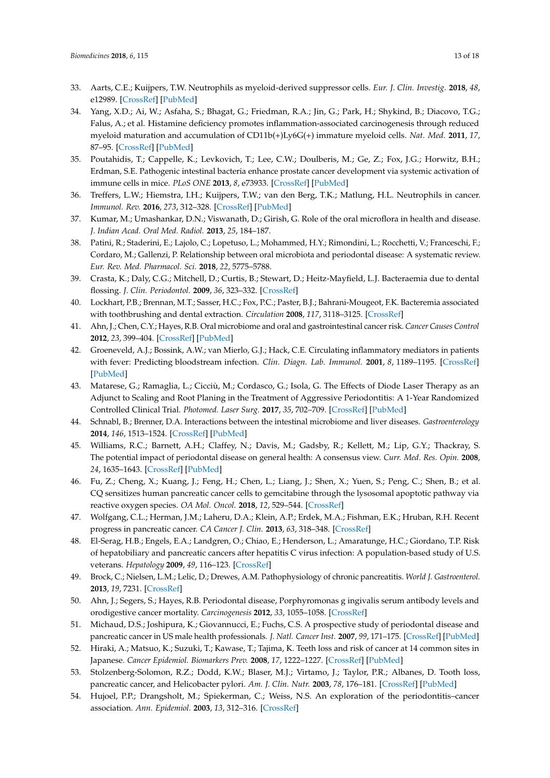- <span id="page-12-0"></span>33. Aarts, C.E.; Kuijpers, T.W. Neutrophils as myeloid-derived suppressor cells. *Eur. J. Clin. Investig.* **2018**, *48*, e12989. [\[CrossRef\]](http://dx.doi.org/10.1111/eci.12989) [\[PubMed\]](http://www.ncbi.nlm.nih.gov/pubmed/29956819)
- 34. Yang, X.D.; Ai, W.; Asfaha, S.; Bhagat, G.; Friedman, R.A.; Jin, G.; Park, H.; Shykind, B.; Diacovo, T.G.; Falus, A.; et al. Histamine deficiency promotes inflammation-associated carcinogenesis through reduced myeloid maturation and accumulation of CD11b(+)Ly6G(+) immature myeloid cells. *Nat. Med.* **2011**, *17*, 87–95. [\[CrossRef\]](http://dx.doi.org/10.1038/nm.2278) [\[PubMed\]](http://www.ncbi.nlm.nih.gov/pubmed/21170045)
- <span id="page-12-1"></span>35. Poutahidis, T.; Cappelle, K.; Levkovich, T.; Lee, C.W.; Doulberis, M.; Ge, Z.; Fox, J.G.; Horwitz, B.H.; Erdman, S.E. Pathogenic intestinal bacteria enhance prostate cancer development via systemic activation of immune cells in mice. *PLoS ONE* **2013**, *8*, e73933. [\[CrossRef\]](http://dx.doi.org/10.1371/journal.pone.0073933) [\[PubMed\]](http://www.ncbi.nlm.nih.gov/pubmed/23991210)
- <span id="page-12-2"></span>36. Treffers, L.W.; Hiemstra, I.H.; Kuijpers, T.W.; van den Berg, T.K.; Matlung, H.L. Neutrophils in cancer. *Immunol. Rev.* **2016**, *273*, 312–328. [\[CrossRef\]](http://dx.doi.org/10.1111/imr.12444) [\[PubMed\]](http://www.ncbi.nlm.nih.gov/pubmed/27558343)
- <span id="page-12-3"></span>37. Kumar, M.; Umashankar, D.N.; Viswanath, D.; Girish, G. Role of the oral microflora in health and disease. *J. Indian Acad. Oral Med. Radiol.* **2013**, *25*, 184–187.
- <span id="page-12-4"></span>38. Patini, R.; Staderini, E.; Lajolo, C.; Lopetuso, L.; Mohammed, H.Y.; Rimondini, L.; Rocchetti, V.; Franceschi, F.; Cordaro, M.; Gallenzi, P. Relationship between oral microbiota and periodontal disease: A systematic review. *Eur. Rev. Med. Pharmacol. Sci.* **2018**, *22*, 5775–5788.
- <span id="page-12-5"></span>39. Crasta, K.; Daly, C.G.; Mitchell, D.; Curtis, B.; Stewart, D.; Heitz-Mayfield, L.J. Bacteraemia due to dental flossing. *J. Clin. Periodontol.* **2009**, *36*, 323–332. [\[CrossRef\]](http://dx.doi.org/10.1111/j.1600-051X.2008.01372.x)
- 40. Lockhart, P.B.; Brennan, M.T.; Sasser, H.C.; Fox, P.C.; Paster, B.J.; Bahrani-Mougeot, F.K. Bacteremia associated with toothbrushing and dental extraction. *Circulation* **2008**, *117*, 3118–3125. [\[CrossRef\]](http://dx.doi.org/10.1161/CIRCULATIONAHA.107.758524)
- <span id="page-12-6"></span>41. Ahn, J.; Chen, C.Y.; Hayes, R.B. Oral microbiome and oral and gastrointestinal cancer risk. *Cancer Causes Control* **2012**, *23*, 399–404. [\[CrossRef\]](http://dx.doi.org/10.1007/s10552-011-9892-7) [\[PubMed\]](http://www.ncbi.nlm.nih.gov/pubmed/22271008)
- <span id="page-12-7"></span>42. Groeneveld, A.J.; Bossink, A.W.; van Mierlo, G.J.; Hack, C.E. Circulating inflammatory mediators in patients with fever: Predicting bloodstream infection. *Clin. Diagn. Lab. Immunol.* **2001**, *8*, 1189–1195. [\[CrossRef\]](http://dx.doi.org/10.1128/CDLI.8.6.1189-1195.2001) [\[PubMed\]](http://www.ncbi.nlm.nih.gov/pubmed/11687462)
- <span id="page-12-8"></span>43. Matarese, G.; Ramaglia, L.; Cicciù, M.; Cordasco, G.; Isola, G. The Effects of Diode Laser Therapy as an Adjunct to Scaling and Root Planing in the Treatment of Aggressive Periodontitis: A 1-Year Randomized Controlled Clinical Trial. *Photomed. Laser Surg.* **2017**, *35*, 702–709. [\[CrossRef\]](http://dx.doi.org/10.1089/pho.2017.4288) [\[PubMed\]](http://www.ncbi.nlm.nih.gov/pubmed/28945145)
- <span id="page-12-9"></span>44. Schnabl, B.; Brenner, D.A. Interactions between the intestinal microbiome and liver diseases. *Gastroenterology* **2014**, *146*, 1513–1524. [\[CrossRef\]](http://dx.doi.org/10.1053/j.gastro.2014.01.020) [\[PubMed\]](http://www.ncbi.nlm.nih.gov/pubmed/24440671)
- <span id="page-12-10"></span>45. Williams, R.C.; Barnett, A.H.; Claffey, N.; Davis, M.; Gadsby, R.; Kellett, M.; Lip, G.Y.; Thackray, S. The potential impact of periodontal disease on general health: A consensus view. *Curr. Med. Res. Opin.* **2008**, *24*, 1635–1643. [\[CrossRef\]](http://dx.doi.org/10.1185/03007990802131215) [\[PubMed\]](http://www.ncbi.nlm.nih.gov/pubmed/18452645)
- <span id="page-12-11"></span>46. Fu, Z.; Cheng, X.; Kuang, J.; Feng, H.; Chen, L.; Liang, J.; Shen, X.; Yuen, S.; Peng, C.; Shen, B.; et al. CQ sensitizes human pancreatic cancer cells to gemcitabine through the lysosomal apoptotic pathway via reactive oxygen species. *OA Mol. Oncol.* **2018**, *12*, 529–544. [\[CrossRef\]](http://dx.doi.org/10.1002/1878-0261.12179)
- <span id="page-12-12"></span>47. Wolfgang, C.L.; Herman, J.M.; Laheru, D.A.; Klein, A.P.; Erdek, M.A.; Fishman, E.K.; Hruban, R.H. Recent progress in pancreatic cancer. *CA Cancer J. Clin.* **2013**, *63*, 318–348. [\[CrossRef\]](http://dx.doi.org/10.3322/caac.21190)
- <span id="page-12-13"></span>48. El-Serag, H.B.; Engels, E.A.; Landgren, O.; Chiao, E.; Henderson, L.; Amaratunge, H.C.; Giordano, T.P. Risk of hepatobiliary and pancreatic cancers after hepatitis C virus infection: A population-based study of U.S. veterans. *Hepatology* **2009**, *49*, 116–123. [\[CrossRef\]](http://dx.doi.org/10.1002/hep.22606)
- <span id="page-12-14"></span>49. Brock, C.; Nielsen, L.M.; Lelic, D.; Drewes, A.M. Pathophysiology of chronic pancreatitis. *World J. Gastroenterol.* **2013**, *19*, 7231. [\[CrossRef\]](http://dx.doi.org/10.3748/wjg.v19.i42.7231)
- <span id="page-12-15"></span>50. Ahn, J.; Segers, S.; Hayes, R.B. Periodontal disease, Porphyromonas g ingivalis serum antibody levels and orodigestive cancer mortality. *Carcinogenesis* **2012**, *33*, 1055–1058. [\[CrossRef\]](http://dx.doi.org/10.1093/carcin/bgs112)
- 51. Michaud, D.S.; Joshipura, K.; Giovannucci, E.; Fuchs, C.S. A prospective study of periodontal disease and pancreatic cancer in US male health professionals. *J. Natl. Cancer Inst.* **2007**, *99*, 171–175. [\[CrossRef\]](http://dx.doi.org/10.1093/jnci/djk021) [\[PubMed\]](http://www.ncbi.nlm.nih.gov/pubmed/17228001)
- 52. Hiraki, A.; Matsuo, K.; Suzuki, T.; Kawase, T.; Tajima, K. Teeth loss and risk of cancer at 14 common sites in Japanese. *Cancer Epidemiol. Biomarkers Prev.* **2008**, *17*, 1222–1227. [\[CrossRef\]](http://dx.doi.org/10.1158/1055-9965.EPI-07-2761) [\[PubMed\]](http://www.ncbi.nlm.nih.gov/pubmed/18483345)
- 53. Stolzenberg-Solomon, R.Z.; Dodd, K.W.; Blaser, M.J.; Virtamo, J.; Taylor, P.R.; Albanes, D. Tooth loss, pancreatic cancer, and Helicobacter pylori. *Am. J. Clin. Nutr.* **2003**, *78*, 176–181. [\[CrossRef\]](http://dx.doi.org/10.1093/ajcn/78.1.176) [\[PubMed\]](http://www.ncbi.nlm.nih.gov/pubmed/12816788)
- <span id="page-12-16"></span>54. Hujoel, P.P.; Drangsholt, M.; Spiekerman, C.; Weiss, N.S. An exploration of the periodontitis–cancer association. *Ann. Epidemiol.* **2003**, *13*, 312–316. [\[CrossRef\]](http://dx.doi.org/10.1016/S1047-2797(02)00425-8)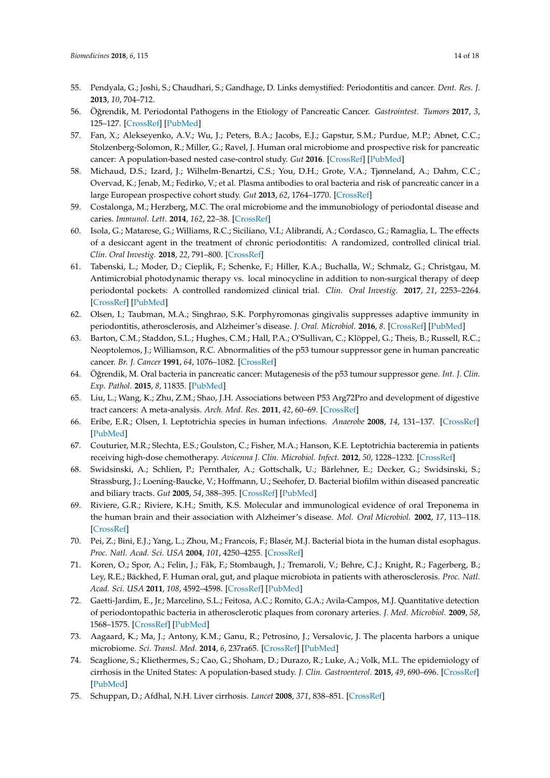- <span id="page-13-0"></span>55. Pendyala, G.; Joshi, S.; Chaudhari, S.; Gandhage, D. Links demystified: Periodontitis and cancer. *Dent. Res. J.* **2013**, *10*, 704–712.
- <span id="page-13-1"></span>56. Ö ˘grendik, M. Periodontal Pathogens in the Etiology of Pancreatic Cancer. *Gastrointest. Tumors* **2017**, *3*, 125–127. [\[CrossRef\]](http://dx.doi.org/10.1159/000452708) [\[PubMed\]](http://www.ncbi.nlm.nih.gov/pubmed/28611978)
- <span id="page-13-2"></span>57. Fan, X.; Alekseyenko, A.V.; Wu, J.; Peters, B.A.; Jacobs, E.J.; Gapstur, S.M.; Purdue, M.P.; Abnet, C.C.; Stolzenberg-Solomon, R.; Miller, G.; Ravel, J. Human oral microbiome and prospective risk for pancreatic cancer: A population-based nested case-control study. *Gut* **2016**. [\[CrossRef\]](http://dx.doi.org/10.1136/gutjnl-2016-312580) [\[PubMed\]](http://www.ncbi.nlm.nih.gov/pubmed/27742762)
- <span id="page-13-3"></span>58. Michaud, D.S.; Izard, J.; Wilhelm-Benartzi, C.S.; You, D.H.; Grote, V.A.; Tjønneland, A.; Dahm, C.C.; Overvad, K.; Jenab, M.; Fedirko, V.; et al. Plasma antibodies to oral bacteria and risk of pancreatic cancer in a large European prospective cohort study. *Gut* **2013**, *62*, 1764–1770. [\[CrossRef\]](http://dx.doi.org/10.1136/gutjnl-2012-303006)
- <span id="page-13-4"></span>59. Costalonga, M.; Herzberg, M.C. The oral microbiome and the immunobiology of periodontal disease and caries. *Immunol. Lett.* **2014**, *162*, 22–38. [\[CrossRef\]](http://dx.doi.org/10.1016/j.imlet.2014.08.017)
- 60. Isola, G.; Matarese, G.; Williams, R.C.; Siciliano, V.I.; Alibrandi, A.; Cordasco, G.; Ramaglia, L. The effects of a desiccant agent in the treatment of chronic periodontitis: A randomized, controlled clinical trial. *Clin. Oral Investig.* **2018**, *22*, 791–800. [\[CrossRef\]](http://dx.doi.org/10.1007/s00784-017-2154-7)
- <span id="page-13-5"></span>61. Tabenski, L.; Moder, D.; Cieplik, F.; Schenke, F.; Hiller, K.A.; Buchalla, W.; Schmalz, G.; Christgau, M. Antimicrobial photodynamic therapy vs. local minocycline in addition to non-surgical therapy of deep periodontal pockets: A controlled randomized clinical trial. *Clin. Oral Investig.* **2017**, *21*, 2253–2264. [\[CrossRef\]](http://dx.doi.org/10.1007/s00784-016-2018-6) [\[PubMed\]](http://www.ncbi.nlm.nih.gov/pubmed/27909894)
- <span id="page-13-6"></span>62. Olsen, I.; Taubman, M.A.; Singhrao, S.K. Porphyromonas gingivalis suppresses adaptive immunity in periodontitis, atherosclerosis, and Alzheimer's disease. *J. Oral. Microbiol.* **2016**, *8*. [\[CrossRef\]](http://dx.doi.org/10.3402/jom.v8.33029) [\[PubMed\]](http://www.ncbi.nlm.nih.gov/pubmed/27882863)
- <span id="page-13-7"></span>63. Barton, C.M.; Staddon, S.L.; Hughes, C.M.; Hall, P.A.; O'Sullivan, C.; Klöppel, G.; Theis, B.; Russell, R.C.; Neoptolemos, J.; Williamson, R.C. Abnormalities of the p53 tumour suppressor gene in human pancreatic cancer. *Br. J. Cancer* **1991**, *64*, 1076–1082. [\[CrossRef\]](http://dx.doi.org/10.1038/bjc.1991.467)
- <span id="page-13-8"></span>64. Öğrendik, M. Oral bacteria in pancreatic cancer: Mutagenesis of the p53 tumour suppressor gene. *Int. J. Clin. Exp. Pathol.* **2015**, *8*, 11835. [\[PubMed\]](http://www.ncbi.nlm.nih.gov/pubmed/26617937)
- <span id="page-13-9"></span>65. Liu, L.; Wang, K.; Zhu, Z.M.; Shao, J.H. Associations between P53 Arg72Pro and development of digestive tract cancers: A meta-analysis. *Arch. Med. Res.* **2011**, *42*, 60–69. [\[CrossRef\]](http://dx.doi.org/10.1016/j.arcmed.2011.01.008)
- <span id="page-13-10"></span>66. Eribe, E.R.; Olsen, I. Leptotrichia species in human infections. *Anaerobe* **2008**, *14*, 131–137. [\[CrossRef\]](http://dx.doi.org/10.1016/j.anaerobe.2008.04.004) [\[PubMed\]](http://www.ncbi.nlm.nih.gov/pubmed/18539056)
- <span id="page-13-11"></span>67. Couturier, M.R.; Slechta, E.S.; Goulston, C.; Fisher, M.A.; Hanson, K.E. Leptotrichia bacteremia in patients receiving high-dose chemotherapy. *Avicenna J. Clin. Microbiol. Infect.* **2012**, *50*, 1228–1232. [\[CrossRef\]](http://dx.doi.org/10.1128/JCM.05926-11)
- <span id="page-13-12"></span>68. Swidsinski, A.; Schlien, P.; Pernthaler, A.; Gottschalk, U.; Bärlehner, E.; Decker, G.; Swidsinski, S.; Strassburg, J.; Loening-Baucke, V.; Hoffmann, U.; Seehofer, D. Bacterial biofilm within diseased pancreatic and biliary tracts. *Gut* **2005**, *54*, 388–395. [\[CrossRef\]](http://dx.doi.org/10.1136/gut.2004.043059) [\[PubMed\]](http://www.ncbi.nlm.nih.gov/pubmed/15710988)
- <span id="page-13-13"></span>69. Riviere, G.R.; Riviere, K.H.; Smith, K.S. Molecular and immunological evidence of oral Treponema in the human brain and their association with Alzheimer's disease. *Mol. Oral Microbiol.* **2002**, *17*, 113–118. [\[CrossRef\]](http://dx.doi.org/10.1046/j.0902-0055.2001.00100.x)
- <span id="page-13-14"></span>70. Pei, Z.; Bini, E.J.; Yang, L.; Zhou, M.; Francois, F.; Blasér, M.J. Bacterial biota in the human distal esophagus. *Proc. Natl. Acad. Sci. USA* **2004**, *101*, 4250–4255. [\[CrossRef\]](http://dx.doi.org/10.1073/pnas.0306398101)
- <span id="page-13-15"></span>71. Koren, O.; Spor, A.; Felin, J.; Fåk, F.; Stombaugh, J.; Tremaroli, V.; Behre, C.J.; Knight, R.; Fagerberg, B.; Ley, R.E.; Bäckhed, F. Human oral, gut, and plaque microbiota in patients with atherosclerosis. *Proc. Natl. Acad. Sci. USA* **2011**, *108*, 4592–4598. [\[CrossRef\]](http://dx.doi.org/10.1073/pnas.1011383107) [\[PubMed\]](http://www.ncbi.nlm.nih.gov/pubmed/20937873)
- <span id="page-13-16"></span>72. Gaetti-Jardim, E., Jr.; Marcelino, S.L.; Feitosa, A.C.; Romito, G.A.; Avila-Campos, M.J. Quantitative detection of periodontopathic bacteria in atherosclerotic plaques from coronary arteries. *J. Med. Microbiol.* **2009**, *58*, 1568–1575. [\[CrossRef\]](http://dx.doi.org/10.1099/jmm.0.013383-0) [\[PubMed\]](http://www.ncbi.nlm.nih.gov/pubmed/19679682)
- <span id="page-13-17"></span>73. Aagaard, K.; Ma, J.; Antony, K.M.; Ganu, R.; Petrosino, J.; Versalovic, J. The placenta harbors a unique microbiome. *Sci. Transl. Med.* **2014**, *6*, 237ra65. [\[CrossRef\]](http://dx.doi.org/10.1126/scitranslmed.3008599) [\[PubMed\]](http://www.ncbi.nlm.nih.gov/pubmed/24848255)
- <span id="page-13-18"></span>74. Scaglione, S.; Kliethermes, S.; Cao, G.; Shoham, D.; Durazo, R.; Luke, A.; Volk, M.L. The epidemiology of cirrhosis in the United States: A population-based study. *J. Clin. Gastroenterol.* **2015**, *49*, 690–696. [\[CrossRef\]](http://dx.doi.org/10.1097/MCG.0000000000000208) [\[PubMed\]](http://www.ncbi.nlm.nih.gov/pubmed/25291348)
- <span id="page-13-19"></span>75. Schuppan, D.; Afdhal, N.H. Liver cirrhosis. *Lancet* **2008**, *371*, 838–851. [\[CrossRef\]](http://dx.doi.org/10.1016/S0140-6736(08)60383-9)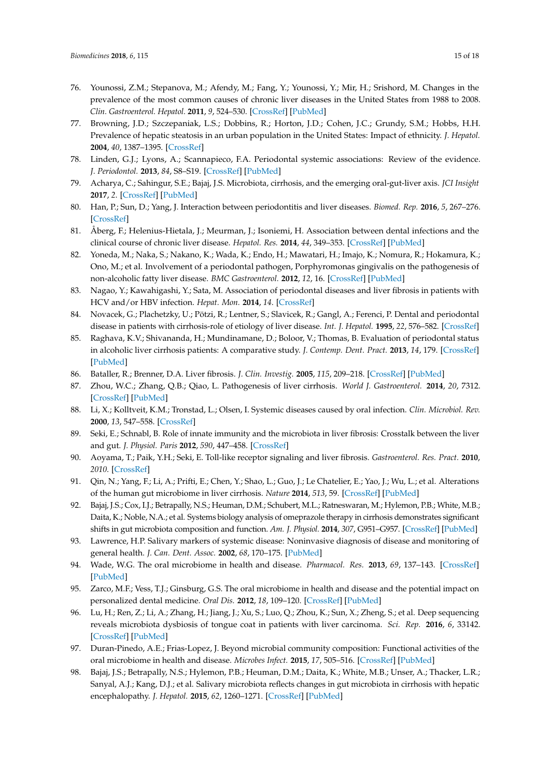- <span id="page-14-0"></span>76. Younossi, Z.M.; Stepanova, M.; Afendy, M.; Fang, Y.; Younossi, Y.; Mir, H.; Srishord, M. Changes in the prevalence of the most common causes of chronic liver diseases in the United States from 1988 to 2008. *Clin. Gastroenterol. Hepatol.* **2011**, *9*, 524–530. [\[CrossRef\]](http://dx.doi.org/10.1016/j.cgh.2011.03.020) [\[PubMed\]](http://www.ncbi.nlm.nih.gov/pubmed/21440669)
- <span id="page-14-1"></span>77. Browning, J.D.; Szczepaniak, L.S.; Dobbins, R.; Horton, J.D.; Cohen, J.C.; Grundy, S.M.; Hobbs, H.H. Prevalence of hepatic steatosis in an urban population in the United States: Impact of ethnicity. *J. Hepatol.* **2004**, *40*, 1387–1395. [\[CrossRef\]](http://dx.doi.org/10.1002/hep.20466)
- <span id="page-14-2"></span>78. Linden, G.J.; Lyons, A.; Scannapieco, F.A. Periodontal systemic associations: Review of the evidence. *J. Periodontol.* **2013**, *84*, S8–S19. [\[CrossRef\]](http://dx.doi.org/10.1902/jop.2013.1340010) [\[PubMed\]](http://www.ncbi.nlm.nih.gov/pubmed/23631586)
- <span id="page-14-12"></span>79. Acharya, C.; Sahingur, S.E.; Bajaj, J.S. Microbiota, cirrhosis, and the emerging oral-gut-liver axis. *JCI Insight* **2017**, *2*. [\[CrossRef\]](http://dx.doi.org/10.1172/jci.insight.94416) [\[PubMed\]](http://www.ncbi.nlm.nih.gov/pubmed/28978799)
- <span id="page-14-7"></span>80. Han, P.; Sun, D.; Yang, J. Interaction between periodontitis and liver diseases. *Biomed. Rep.* **2016**, *5*, 267–276. [\[CrossRef\]](http://dx.doi.org/10.3892/br.2016.718)
- <span id="page-14-8"></span>81. Åberg, F.; Helenius-Hietala, J.; Meurman, J.; Isoniemi, H. Association between dental infections and the clinical course of chronic liver disease. *Hepatol. Res.* **2014**, *44*, 349–353. [\[CrossRef\]](http://dx.doi.org/10.1111/hepr.12126) [\[PubMed\]](http://www.ncbi.nlm.nih.gov/pubmed/23607641)
- <span id="page-14-9"></span>82. Yoneda, M.; Naka, S.; Nakano, K.; Wada, K.; Endo, H.; Mawatari, H.; Imajo, K.; Nomura, R.; Hokamura, K.; Ono, M.; et al. Involvement of a periodontal pathogen, Porphyromonas gingivalis on the pathogenesis of non-alcoholic fatty liver disease. *BMC Gastroenterol.* **2012**, *12*, 16. [\[CrossRef\]](http://dx.doi.org/10.1186/1471-230X-12-16) [\[PubMed\]](http://www.ncbi.nlm.nih.gov/pubmed/22340817)
- <span id="page-14-10"></span>83. Nagao, Y.; Kawahigashi, Y.; Sata, M. Association of periodontal diseases and liver fibrosis in patients with HCV and/or HBV infection. *Hepat. Mon.* **2014**, *14*. [\[CrossRef\]](http://dx.doi.org/10.5812/hepatmon.23264)
- <span id="page-14-11"></span>84. Novacek, G.; Plachetzky, U.; Pötzi, R.; Lentner, S.; Slavicek, R.; Gangl, A.; Ferenci, P. Dental and periodontal disease in patients with cirrhosis-role of etiology of liver disease. *Int. J. Hepatol.* **1995**, *22*, 576–582. [\[CrossRef\]](http://dx.doi.org/10.1016/0168-8278(95)80453-6)
- <span id="page-14-3"></span>85. Raghava, K.V.; Shivananda, H.; Mundinamane, D.; Boloor, V.; Thomas, B. Evaluation of periodontal status in alcoholic liver cirrhosis patients: A comparative study. *J. Contemp. Dent. Pract.* **2013**, *14*, 179. [\[CrossRef\]](http://dx.doi.org/10.5005/jp-journals-10024-1296) [\[PubMed\]](http://www.ncbi.nlm.nih.gov/pubmed/23811642)
- <span id="page-14-4"></span>86. Bataller, R.; Brenner, D.A. Liver fibrosis. *J. Clin. Investig.* **2005**, *115*, 209–218. [\[CrossRef\]](http://dx.doi.org/10.1172/JCI24282) [\[PubMed\]](http://www.ncbi.nlm.nih.gov/pubmed/15690074)
- <span id="page-14-5"></span>87. Zhou, W.C.; Zhang, Q.B.; Qiao, L. Pathogenesis of liver cirrhosis. *World J. Gastroenterol.* **2014**, *20*, 7312. [\[CrossRef\]](http://dx.doi.org/10.3748/wjg.v20.i23.7312) [\[PubMed\]](http://www.ncbi.nlm.nih.gov/pubmed/24966602)
- <span id="page-14-6"></span>88. Li, X.; Kolltveit, K.M.; Tronstad, L.; Olsen, I. Systemic diseases caused by oral infection. *Clin. Microbiol. Rev.* **2000**, *13*, 547–558. [\[CrossRef\]](http://dx.doi.org/10.1128/CMR.13.4.547)
- <span id="page-14-13"></span>89. Seki, E.; Schnabl, B. Role of innate immunity and the microbiota in liver fibrosis: Crosstalk between the liver and gut. *J. Physiol. Paris* **2012**, *590*, 447–458. [\[CrossRef\]](http://dx.doi.org/10.1113/jphysiol.2011.219691)
- <span id="page-14-14"></span>90. Aoyama, T.; Paik, Y.H.; Seki, E. Toll-like receptor signaling and liver fibrosis. *Gastroenterol. Res. Pract.* **2010**, *2010*. [\[CrossRef\]](http://dx.doi.org/10.1155/2010/192543)
- <span id="page-14-15"></span>91. Qin, N.; Yang, F.; Li, A.; Prifti, E.; Chen, Y.; Shao, L.; Guo, J.; Le Chatelier, E.; Yao, J.; Wu, L.; et al. Alterations of the human gut microbiome in liver cirrhosis. *Nature* **2014**, *513*, 59. [\[CrossRef\]](http://dx.doi.org/10.1038/nature13568) [\[PubMed\]](http://www.ncbi.nlm.nih.gov/pubmed/25079328)
- <span id="page-14-16"></span>92. Bajaj, J.S.; Cox, I.J.; Betrapally, N.S.; Heuman, D.M.; Schubert, M.L.; Ratneswaran, M.; Hylemon, P.B.; White, M.B.; Daita, K.; Noble, N.A.; et al. Systems biology analysis of omeprazole therapy in cirrhosis demonstrates significant shifts in gut microbiota composition and function. *Am. J. Physiol.* **2014**, *307*, G951–G957. [\[CrossRef\]](http://dx.doi.org/10.1152/ajpgi.00268.2014) [\[PubMed\]](http://www.ncbi.nlm.nih.gov/pubmed/25258407)
- <span id="page-14-17"></span>93. Lawrence, H.P. Salivary markers of systemic disease: Noninvasive diagnosis of disease and monitoring of general health. *J. Can. Dent. Assoc.* **2002**, *68*, 170–175. [\[PubMed\]](http://www.ncbi.nlm.nih.gov/pubmed/11911813)
- <span id="page-14-18"></span>94. Wade, W.G. The oral microbiome in health and disease. *Pharmacol. Res.* **2013**, *69*, 137–143. [\[CrossRef\]](http://dx.doi.org/10.1016/j.phrs.2012.11.006) [\[PubMed\]](http://www.ncbi.nlm.nih.gov/pubmed/23201354)
- <span id="page-14-19"></span>95. Zarco, M.F.; Vess, T.J.; Ginsburg, G.S. The oral microbiome in health and disease and the potential impact on personalized dental medicine. *Oral Dis.* **2012**, *18*, 109–120. [\[CrossRef\]](http://dx.doi.org/10.1111/j.1601-0825.2011.01851.x) [\[PubMed\]](http://www.ncbi.nlm.nih.gov/pubmed/21902769)
- <span id="page-14-20"></span>96. Lu, H.; Ren, Z.; Li, A.; Zhang, H.; Jiang, J.; Xu, S.; Luo, Q.; Zhou, K.; Sun, X.; Zheng, S.; et al. Deep sequencing reveals microbiota dysbiosis of tongue coat in patients with liver carcinoma. *Sci. Rep.* **2016**, *6*, 33142. [\[CrossRef\]](http://dx.doi.org/10.1038/srep33142) [\[PubMed\]](http://www.ncbi.nlm.nih.gov/pubmed/27605161)
- <span id="page-14-21"></span>97. Duran-Pinedo, A.E.; Frias-Lopez, J. Beyond microbial community composition: Functional activities of the oral microbiome in health and disease. *Microbes Infect.* **2015**, *17*, 505–516. [\[CrossRef\]](http://dx.doi.org/10.1016/j.micinf.2015.03.014) [\[PubMed\]](http://www.ncbi.nlm.nih.gov/pubmed/25862077)
- <span id="page-14-22"></span>98. Bajaj, J.S.; Betrapally, N.S.; Hylemon, P.B.; Heuman, D.M.; Daita, K.; White, M.B.; Unser, A.; Thacker, L.R.; Sanyal, A.J.; Kang, D.J.; et al. Salivary microbiota reflects changes in gut microbiota in cirrhosis with hepatic encephalopathy. *J. Hepatol.* **2015**, *62*, 1260–1271. [\[CrossRef\]](http://dx.doi.org/10.1002/hep.27819) [\[PubMed\]](http://www.ncbi.nlm.nih.gov/pubmed/25820757)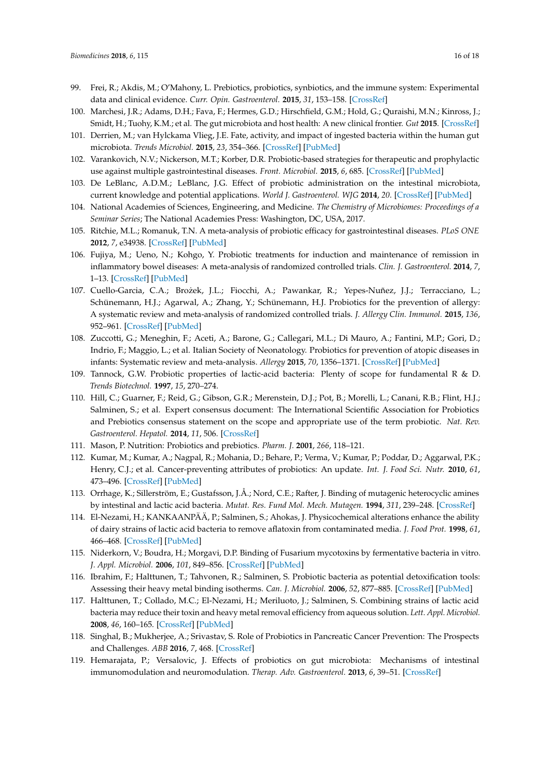- <span id="page-15-0"></span>99. Frei, R.; Akdis, M.; O'Mahony, L. Prebiotics, probiotics, synbiotics, and the immune system: Experimental data and clinical evidence. *Curr. Opin. Gastroenterol.* **2015**, *31*, 153–158. [\[CrossRef\]](http://dx.doi.org/10.1097/MOG.0000000000000151)
- <span id="page-15-1"></span>100. Marchesi, J.R.; Adams, D.H.; Fava, F.; Hermes, G.D.; Hirschfield, G.M.; Hold, G.; Quraishi, M.N.; Kinross, J.; Smidt, H.; Tuohy, K.M.; et al. The gut microbiota and host health: A new clinical frontier. *Gut* **2015**. [\[CrossRef\]](http://dx.doi.org/10.1136/gutjnl-2015-309990)
- 101. Derrien, M.; van Hylckama Vlieg, J.E. Fate, activity, and impact of ingested bacteria within the human gut microbiota. *Trends Microbiol.* **2015**, *23*, 354–366. [\[CrossRef\]](http://dx.doi.org/10.1016/j.tim.2015.03.002) [\[PubMed\]](http://www.ncbi.nlm.nih.gov/pubmed/25840765)
- 102. Varankovich, N.V.; Nickerson, M.T.; Korber, D.R. Probiotic-based strategies for therapeutic and prophylactic use against multiple gastrointestinal diseases. *Front. Microbiol.* **2015**, *6*, 685. [\[CrossRef\]](http://dx.doi.org/10.3389/fmicb.2015.00685) [\[PubMed\]](http://www.ncbi.nlm.nih.gov/pubmed/26236287)
- <span id="page-15-2"></span>103. De LeBlanc, A.D.M.; LeBlanc, J.G. Effect of probiotic administration on the intestinal microbiota, current knowledge and potential applications. *World J. Gastroenterol. WJG* **2014**, *20*. [\[CrossRef\]](http://dx.doi.org/10.3748/wjg.v20.i44.16518) [\[PubMed\]](http://www.ncbi.nlm.nih.gov/pubmed/25469019)
- <span id="page-15-3"></span>104. National Academies of Sciences, Engineering, and Medicine. *The Chemistry of Microbiomes: Proceedings of a Seminar Series*; The National Academies Press: Washington, DC, USA, 2017.
- <span id="page-15-4"></span>105. Ritchie, M.L.; Romanuk, T.N. A meta-analysis of probiotic efficacy for gastrointestinal diseases. *PLoS ONE* **2012**, *7*, e34938. [\[CrossRef\]](http://dx.doi.org/10.1371/journal.pone.0034938) [\[PubMed\]](http://www.ncbi.nlm.nih.gov/pubmed/22529959)
- 106. Fujiya, M.; Ueno, N.; Kohgo, Y. Probiotic treatments for induction and maintenance of remission in inflammatory bowel diseases: A meta-analysis of randomized controlled trials. *Clin. J. Gastroenterol.* **2014**, *7*, 1–13. [\[CrossRef\]](http://dx.doi.org/10.1007/s12328-013-0440-8) [\[PubMed\]](http://www.ncbi.nlm.nih.gov/pubmed/26183502)
- 107. Cuello-Garcia, C.A.; Brozek, J.L.; Fiocchi, A.; Pawankar, R.; Yepes-Nuñez, J.J.; Terracciano, L.; ˙ Schünemann, H.J.; Agarwal, A.; Zhang, Y.; Schünemann, H.J. Probiotics for the prevention of allergy: A systematic review and meta-analysis of randomized controlled trials. *J. Allergy Clin. Immunol.* **2015**, *136*, 952–961. [\[CrossRef\]](http://dx.doi.org/10.1016/j.jaci.2015.04.031) [\[PubMed\]](http://www.ncbi.nlm.nih.gov/pubmed/26044853)
- <span id="page-15-5"></span>108. Zuccotti, G.; Meneghin, F.; Aceti, A.; Barone, G.; Callegari, M.L.; Di Mauro, A.; Fantini, M.P.; Gori, D.; Indrio, F.; Maggio, L.; et al. Italian Society of Neonatology. Probiotics for prevention of atopic diseases in infants: Systematic review and meta-analysis. *Allergy* **2015**, *70*, 1356–1371. [\[CrossRef\]](http://dx.doi.org/10.1111/all.12700) [\[PubMed\]](http://www.ncbi.nlm.nih.gov/pubmed/26198702)
- <span id="page-15-6"></span>109. Tannock, G.W. Probiotic properties of lactic-acid bacteria: Plenty of scope for fundamental R & D. *Trends Biotechnol.* **1997**, *15*, 270–274.
- <span id="page-15-7"></span>110. Hill, C.; Guarner, F.; Reid, G.; Gibson, G.R.; Merenstein, D.J.; Pot, B.; Morelli, L.; Canani, R.B.; Flint, H.J.; Salminen, S.; et al. Expert consensus document: The International Scientific Association for Probiotics and Prebiotics consensus statement on the scope and appropriate use of the term probiotic. *Nat. Rev. Gastroenterol. Hepatol.* **2014**, *11*, 506. [\[CrossRef\]](http://dx.doi.org/10.1038/nrgastro.2014.66)
- <span id="page-15-9"></span><span id="page-15-8"></span>111. Mason, P. Nutrition: Probiotics and prebiotics. *Pharm. J.* **2001**, *266*, 118–121.
- 112. Kumar, M.; Kumar, A.; Nagpal, R.; Mohania, D.; Behare, P.; Verma, V.; Kumar, P.; Poddar, D.; Aggarwal, P.K.; Henry, C.J.; et al. Cancer-preventing attributes of probiotics: An update. *Int. J. Food Sci. Nutr.* **2010**, *61*, 473–496. [\[CrossRef\]](http://dx.doi.org/10.3109/09637480903455971) [\[PubMed\]](http://www.ncbi.nlm.nih.gov/pubmed/20187714)
- <span id="page-15-10"></span>113. Orrhage, K.; Sillerström, E.; Gustafsson, J.Å.; Nord, C.E.; Rafter, J. Binding of mutagenic heterocyclic amines by intestinal and lactic acid bacteria. *Mutat. Res. Fund Mol. Mech. Mutagen.* **1994**, *311*, 239–248. [\[CrossRef\]](http://dx.doi.org/10.1016/0027-5107(94)90182-1)
- <span id="page-15-11"></span>114. El-Nezami, H.; KANKAANPÄÄ, P.; Salminen, S.; Ahokas, J. Physicochemical alterations enhance the ability of dairy strains of lactic acid bacteria to remove aflatoxin from contaminated media. *J. Food Prot.* **1998**, *61*, 466–468. [\[CrossRef\]](http://dx.doi.org/10.4315/0362-028X-61.4.466) [\[PubMed\]](http://www.ncbi.nlm.nih.gov/pubmed/9709211)
- 115. Niderkorn, V.; Boudra, H.; Morgavi, D.P. Binding of Fusarium mycotoxins by fermentative bacteria in vitro. *J. Appl. Microbiol.* **2006**, *101*, 849–856. [\[CrossRef\]](http://dx.doi.org/10.1111/j.1365-2672.2006.02958.x) [\[PubMed\]](http://www.ncbi.nlm.nih.gov/pubmed/16968296)
- 116. Ibrahim, F.; Halttunen, T.; Tahvonen, R.; Salminen, S. Probiotic bacteria as potential detoxification tools: Assessing their heavy metal binding isotherms. *Can. J. Microbiol.* **2006**, *52*, 877–885. [\[CrossRef\]](http://dx.doi.org/10.1139/w06-043) [\[PubMed\]](http://www.ncbi.nlm.nih.gov/pubmed/17110980)
- <span id="page-15-12"></span>117. Halttunen, T.; Collado, M.C.; El-Nezami, H.; Meriluoto, J.; Salminen, S. Combining strains of lactic acid bacteria may reduce their toxin and heavy metal removal efficiency from aqueous solution. *Lett. Appl. Microbiol.* **2008**, *46*, 160–165. [\[CrossRef\]](http://dx.doi.org/10.1111/j.1472-765X.2007.02276.x) [\[PubMed\]](http://www.ncbi.nlm.nih.gov/pubmed/18028332)
- <span id="page-15-13"></span>118. Singhal, B.; Mukherjee, A.; Srivastav, S. Role of Probiotics in Pancreatic Cancer Prevention: The Prospects and Challenges. *ABB* **2016**, *7*, 468. [\[CrossRef\]](http://dx.doi.org/10.4236/abb.2016.711045)
- <span id="page-15-14"></span>119. Hemarajata, P.; Versalovic, J. Effects of probiotics on gut microbiota: Mechanisms of intestinal immunomodulation and neuromodulation. *Therap. Adv. Gastroenterol.* **2013**, *6*, 39–51. [\[CrossRef\]](http://dx.doi.org/10.1177/1756283X12459294)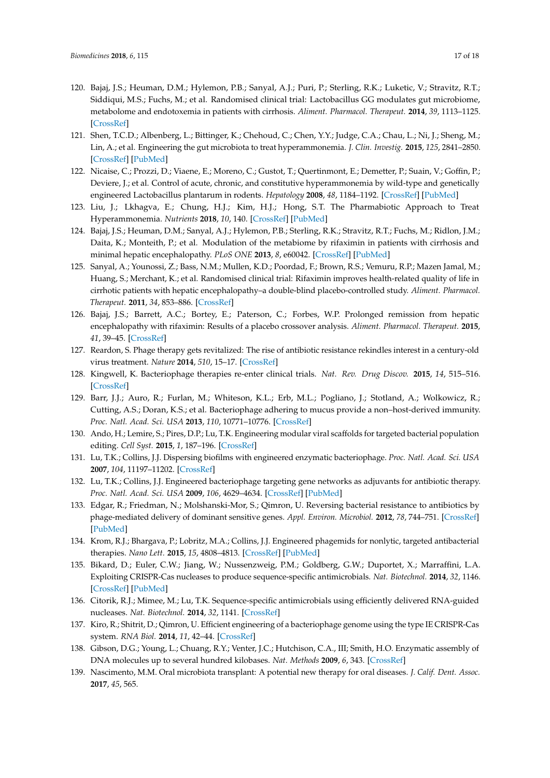- <span id="page-16-0"></span>120. Bajaj, J.S.; Heuman, D.M.; Hylemon, P.B.; Sanyal, A.J.; Puri, P.; Sterling, R.K.; Luketic, V.; Stravitz, R.T.; Siddiqui, M.S.; Fuchs, M.; et al. Randomised clinical trial: Lactobacillus GG modulates gut microbiome, metabolome and endotoxemia in patients with cirrhosis. *Aliment. Pharmacol. Therapeut.* **2014**, *39*, 1113–1125. [\[CrossRef\]](http://dx.doi.org/10.1111/apt.12695)
- <span id="page-16-1"></span>121. Shen, T.C.D.; Albenberg, L.; Bittinger, K.; Chehoud, C.; Chen, Y.Y.; Judge, C.A.; Chau, L.; Ni, J.; Sheng, M.; Lin, A.; et al. Engineering the gut microbiota to treat hyperammonemia. *J. Clin. Investig.* **2015**, *125*, 2841–2850. [\[CrossRef\]](http://dx.doi.org/10.1172/JCI79214) [\[PubMed\]](http://www.ncbi.nlm.nih.gov/pubmed/26098218)
- <span id="page-16-2"></span>122. Nicaise, C.; Prozzi, D.; Viaene, E.; Moreno, C.; Gustot, T.; Quertinmont, E.; Demetter, P.; Suain, V.; Goffin, P.; Deviere, J.; et al. Control of acute, chronic, and constitutive hyperammonemia by wild-type and genetically engineered Lactobacillus plantarum in rodents. *Hepatology* **2008**, *48*, 1184–1192. [\[CrossRef\]](http://dx.doi.org/10.1002/hep.22445) [\[PubMed\]](http://www.ncbi.nlm.nih.gov/pubmed/18697211)
- <span id="page-16-3"></span>123. Liu, J.; Lkhagva, E.; Chung, H.J.; Kim, H.J.; Hong, S.T. The Pharmabiotic Approach to Treat Hyperammonemia. *Nutrients* **2018**, *10*, 140. [\[CrossRef\]](http://dx.doi.org/10.3390/nu10020140) [\[PubMed\]](http://www.ncbi.nlm.nih.gov/pubmed/29382084)
- <span id="page-16-4"></span>124. Bajaj, J.S.; Heuman, D.M.; Sanyal, A.J.; Hylemon, P.B.; Sterling, R.K.; Stravitz, R.T.; Fuchs, M.; Ridlon, J.M.; Daita, K.; Monteith, P.; et al. Modulation of the metabiome by rifaximin in patients with cirrhosis and minimal hepatic encephalopathy. *PLoS ONE* **2013**, *8*, e60042. [\[CrossRef\]](http://dx.doi.org/10.1371/journal.pone.0060042) [\[PubMed\]](http://www.ncbi.nlm.nih.gov/pubmed/23565181)
- <span id="page-16-5"></span>125. Sanyal, A.; Younossi, Z.; Bass, N.M.; Mullen, K.D.; Poordad, F.; Brown, R.S.; Vemuru, R.P.; Mazen Jamal, M.; Huang, S.; Merchant, K.; et al. Randomised clinical trial: Rifaximin improves health-related quality of life in cirrhotic patients with hepatic encephalopathy–a double-blind placebo-controlled study. *Aliment. Pharmacol. Therapeut.* **2011**, *34*, 853–886. [\[CrossRef\]](http://dx.doi.org/10.1111/j.1365-2036.2011.04808.x)
- <span id="page-16-6"></span>126. Bajaj, J.S.; Barrett, A.C.; Bortey, E.; Paterson, C.; Forbes, W.P. Prolonged remission from hepatic encephalopathy with rifaximin: Results of a placebo crossover analysis. *Aliment. Pharmacol. Therapeut.* **2015**, *41*, 39–45. [\[CrossRef\]](http://dx.doi.org/10.1111/apt.12993)
- <span id="page-16-7"></span>127. Reardon, S. Phage therapy gets revitalized: The rise of antibiotic resistance rekindles interest in a century-old virus treatment. *Nature* **2014**, *510*, 15–17. [\[CrossRef\]](http://dx.doi.org/10.1038/510015a)
- <span id="page-16-8"></span>128. Kingwell, K. Bacteriophage therapies re-enter clinical trials. *Nat. Rev. Drug Discov.* **2015**, *14*, 515–516. [\[CrossRef\]](http://dx.doi.org/10.1038/nrd4695)
- <span id="page-16-9"></span>129. Barr, J.J.; Auro, R.; Furlan, M.; Whiteson, K.L.; Erb, M.L.; Pogliano, J.; Stotland, A.; Wolkowicz, R.; Cutting, A.S.; Doran, K.S.; et al. Bacteriophage adhering to mucus provide a non–host-derived immunity. *Proc. Natl. Acad. Sci. USA* **2013**, *110*, 10771–10776. [\[CrossRef\]](http://dx.doi.org/10.1073/pnas.1305923110)
- <span id="page-16-10"></span>130. Ando, H.; Lemire, S.; Pires, D.P.; Lu, T.K. Engineering modular viral scaffolds for targeted bacterial population editing. *Cell Syst.* **2015**, *1*, 187–196. [\[CrossRef\]](http://dx.doi.org/10.1016/j.cels.2015.08.013)
- <span id="page-16-11"></span>131. Lu, T.K.; Collins, J.J. Dispersing biofilms with engineered enzymatic bacteriophage. *Proc. Natl. Acad. Sci. USA* **2007**, *104*, 11197–11202. [\[CrossRef\]](http://dx.doi.org/10.1073/pnas.0704624104)
- <span id="page-16-12"></span>132. Lu, T.K.; Collins, J.J. Engineered bacteriophage targeting gene networks as adjuvants for antibiotic therapy. *Proc. Natl. Acad. Sci. USA* **2009**, *106*, 4629–4634. [\[CrossRef\]](http://dx.doi.org/10.1073/pnas.0800442106) [\[PubMed\]](http://www.ncbi.nlm.nih.gov/pubmed/19255432)
- <span id="page-16-13"></span>133. Edgar, R.; Friedman, N.; Molshanski-Mor, S.; Qimron, U. Reversing bacterial resistance to antibiotics by phage-mediated delivery of dominant sensitive genes. *Appl. Environ. Microbiol.* **2012**, *78*, 744–751. [\[CrossRef\]](http://dx.doi.org/10.1128/AEM.05741-11) [\[PubMed\]](http://www.ncbi.nlm.nih.gov/pubmed/22113912)
- <span id="page-16-14"></span>134. Krom, R.J.; Bhargava, P.; Lobritz, M.A.; Collins, J.J. Engineered phagemids for nonlytic, targeted antibacterial therapies. *Nano Lett.* **2015**, *15*, 4808–4813. [\[CrossRef\]](http://dx.doi.org/10.1021/acs.nanolett.5b01943) [\[PubMed\]](http://www.ncbi.nlm.nih.gov/pubmed/26044909)
- <span id="page-16-15"></span>135. Bikard, D.; Euler, C.W.; Jiang, W.; Nussenzweig, P.M.; Goldberg, G.W.; Duportet, X.; Marraffini, L.A. Exploiting CRISPR-Cas nucleases to produce sequence-specific antimicrobials. *Nat. Biotechnol.* **2014**, *32*, 1146. [\[CrossRef\]](http://dx.doi.org/10.1038/nbt.3043) [\[PubMed\]](http://www.ncbi.nlm.nih.gov/pubmed/25282355)
- <span id="page-16-16"></span>136. Citorik, R.J.; Mimee, M.; Lu, T.K. Sequence-specific antimicrobials using efficiently delivered RNA-guided nucleases. *Nat. Biotechnol.* **2014**, *32*, 1141. [\[CrossRef\]](http://dx.doi.org/10.1038/nbt.3011)
- <span id="page-16-17"></span>137. Kiro, R.; Shitrit, D.; Qimron, U. Efficient engineering of a bacteriophage genome using the type IE CRISPR-Cas system. *RNA Biol.* **2014**, *11*, 42–44. [\[CrossRef\]](http://dx.doi.org/10.4161/rna.27766)
- <span id="page-16-18"></span>138. Gibson, D.G.; Young, L.; Chuang, R.Y.; Venter, J.C.; Hutchison, C.A., III; Smith, H.O. Enzymatic assembly of DNA molecules up to several hundred kilobases. *Nat. Methods* **2009**, *6*, 343. [\[CrossRef\]](http://dx.doi.org/10.1038/nmeth.1318)
- <span id="page-16-19"></span>139. Nascimento, M.M. Oral microbiota transplant: A potential new therapy for oral diseases. *J. Calif. Dent. Assoc.* **2017**, *45*, 565.